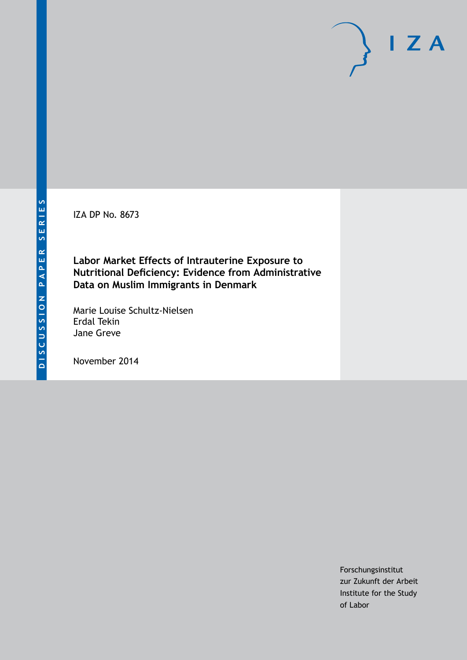IZA DP No. 8673

**Labor Market Effects of Intrauterine Exposure to Nutritional Deficiency: Evidence from Administrative Data on Muslim Immigrants in Denmark**

Marie Louise Schultz-Nielsen Erdal Tekin Jane Greve

November 2014

Forschungsinstitut zur Zukunft der Arbeit Institute for the Study of Labor

 $I Z A$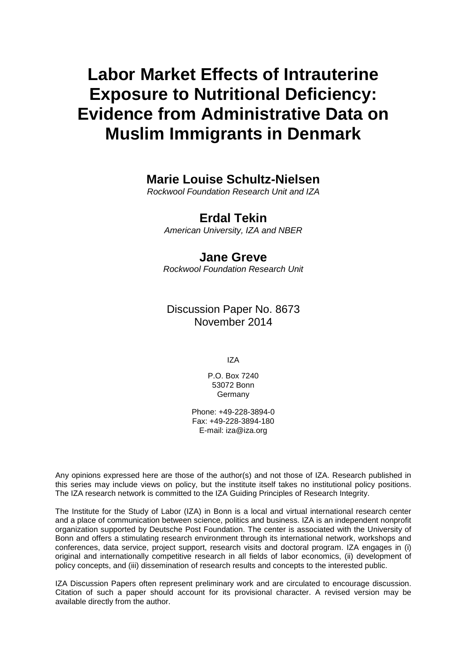# **Labor Market Effects of Intrauterine Exposure to Nutritional Deficiency: Evidence from Administrative Data on Muslim Immigrants in Denmark**

# **Marie Louise Schultz-Nielsen**

*Rockwool Foundation Research Unit and IZA*

# **Erdal Tekin**

*American University, IZA and NBER*

# **Jane Greve**

*Rockwool Foundation Research Unit*

# Discussion Paper No. 8673 November 2014

IZA

P.O. Box 7240 53072 Bonn Germany

Phone: +49-228-3894-0 Fax: +49-228-3894-180 E-mail: [iza@iza.org](mailto:iza@iza.org)

Any opinions expressed here are those of the author(s) and not those of IZA. Research published in this series may include views on policy, but the institute itself takes no institutional policy positions. The IZA research network is committed to the IZA Guiding Principles of Research Integrity.

The Institute for the Study of Labor (IZA) in Bonn is a local and virtual international research center and a place of communication between science, politics and business. IZA is an independent nonprofit organization supported by Deutsche Post Foundation. The center is associated with the University of Bonn and offers a stimulating research environment through its international network, workshops and conferences, data service, project support, research visits and doctoral program. IZA engages in (i) original and internationally competitive research in all fields of labor economics, (ii) development of policy concepts, and (iii) dissemination of research results and concepts to the interested public.

<span id="page-1-0"></span>IZA Discussion Papers often represent preliminary work and are circulated to encourage discussion. Citation of such a paper should account for its provisional character. A revised version may be available directly from the author.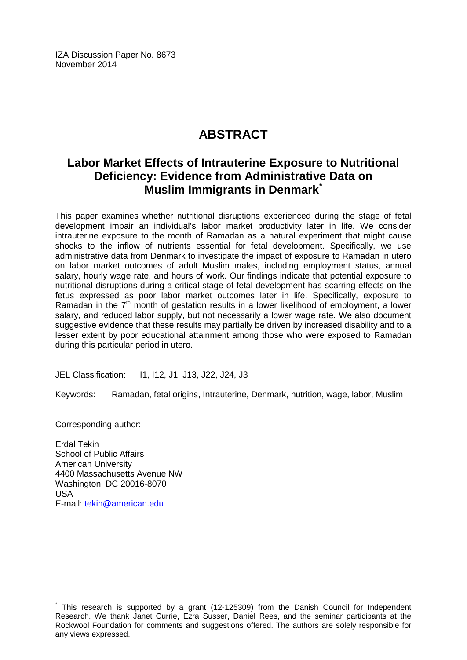IZA Discussion Paper No. 8673 November 2014

# **ABSTRACT**

# **Labor Market Effects of Intrauterine Exposure to Nutritional Deficiency: Evidence from Administrative Data on Muslim Immigrants in Denmark[\\*](#page-1-0)**

This paper examines whether nutritional disruptions experienced during the stage of fetal development impair an individual's labor market productivity later in life. We consider intrauterine exposure to the month of Ramadan as a natural experiment that might cause shocks to the inflow of nutrients essential for fetal development. Specifically, we use administrative data from Denmark to investigate the impact of exposure to Ramadan in utero on labor market outcomes of adult Muslim males, including employment status, annual salary, hourly wage rate, and hours of work. Our findings indicate that potential exposure to nutritional disruptions during a critical stage of fetal development has scarring effects on the fetus expressed as poor labor market outcomes later in life. Specifically, exposure to Ramadan in the  $7<sup>th</sup>$  month of gestation results in a lower likelihood of employment, a lower salary, and reduced labor supply, but not necessarily a lower wage rate. We also document suggestive evidence that these results may partially be driven by increased disability and to a lesser extent by poor educational attainment among those who were exposed to Ramadan during this particular period in utero.

JEL Classification: I1, I12, J1, J13, J22, J24, J3

Keywords: Ramadan, fetal origins, Intrauterine, Denmark, nutrition, wage, labor, Muslim

Corresponding author:

Erdal Tekin School of Public Affairs American University 4400 Massachusetts Avenue NW Washington, DC 20016-8070 USA E-mail: [tekin@american.edu](mailto:tekin@american.edu)

This research is supported by a grant (12-125309) from the Danish Council for Independent Research. We thank Janet Currie, Ezra Susser, Daniel Rees, and the seminar participants at the Rockwool Foundation for comments and suggestions offered. The authors are solely responsible for any views expressed.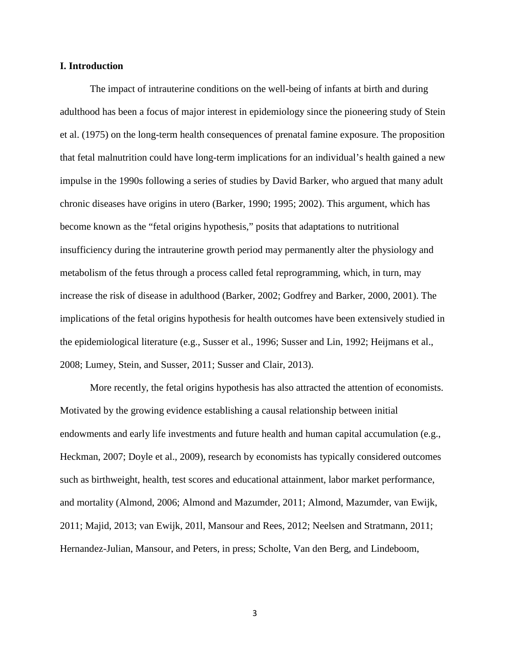### **I. Introduction**

The impact of intrauterine conditions on the well-being of infants at birth and during adulthood has been a focus of major interest in epidemiology since the pioneering study of Stein et al. (1975) on the long-term health consequences of prenatal famine exposure. The proposition that fetal malnutrition could have long-term implications for an individual's health gained a new impulse in the 1990s following a series of studies by David Barker, who argued that many adult chronic diseases have origins in utero (Barker, 1990; 1995; 2002). This argument, which has become known as the "fetal origins hypothesis," posits that adaptations to nutritional insufficiency during the intrauterine growth period may permanently alter the physiology and metabolism of the fetus through a process called fetal reprogramming, which, in turn, may increase the risk of disease in adulthood (Barker, 2002; Godfrey and Barker, 2000, 2001). The implications of the fetal origins hypothesis for health outcomes have been extensively studied in the epidemiological literature (e.g., Susser et al., 1996; Susser and Lin, 1992; Heijmans et al., 2008; Lumey, Stein, and Susser, 2011; Susser and Clair, 2013).

More recently, the fetal origins hypothesis has also attracted the attention of economists. Motivated by the growing evidence establishing a causal relationship between initial endowments and early life investments and future health and human capital accumulation (e.g., Heckman, 2007; Doyle et al., 2009), research by economists has typically considered outcomes such as birthweight, health, test scores and educational attainment, labor market performance, and mortality (Almond, 2006; Almond and Mazumder, 2011; Almond, Mazumder, van Ewijk, 2011; Majid, 2013; van Ewijk, 201l, Mansour and Rees, 2012; Neelsen and Stratmann, 2011; Hernandez-Julian, Mansour, and Peters, in press; Scholte, Van den Berg, and Lindeboom,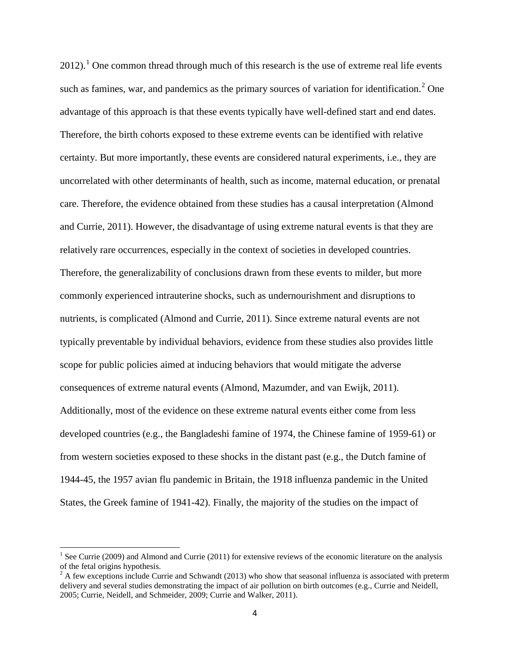$2012$  $2012$  $2012$ .<sup>1</sup> One common thread through much of this research is the use of extreme real life events such as famines, war, and pandemics as the primary sources of variation for identification.<sup>[2](#page-4-0)</sup> One advantage of this approach is that these events typically have well-defined start and end dates. Therefore, the birth cohorts exposed to these extreme events can be identified with relative certainty. But more importantly, these events are considered natural experiments, i.e., they are uncorrelated with other determinants of health, such as income, maternal education, or prenatal care. Therefore, the evidence obtained from these studies has a causal interpretation (Almond and Currie, 2011). However, the disadvantage of using extreme natural events is that they are relatively rare occurrences, especially in the context of societies in developed countries. Therefore, the generalizability of conclusions drawn from these events to milder, but more commonly experienced intrauterine shocks, such as undernourishment and disruptions to nutrients, is complicated (Almond and Currie, 2011). Since extreme natural events are not typically preventable by individual behaviors, evidence from these studies also provides little scope for public policies aimed at inducing behaviors that would mitigate the adverse consequences of extreme natural events (Almond, Mazumder, and van Ewijk, 2011). Additionally, most of the evidence on these extreme natural events either come from less developed countries (e.g., the Bangladeshi famine of 1974, the Chinese famine of 1959-61) or from western societies exposed to these shocks in the distant past (e.g., the Dutch famine of 1944-45, the 1957 avian flu pandemic in Britain, the 1918 influenza pandemic in the United States, the Greek famine of 1941-42). Finally, the majority of the studies on the impact of

<span id="page-4-1"></span><sup>&</sup>lt;sup>1</sup> See Currie (2009) and Almond and Currie (2011) for extensive reviews of the economic literature on the analysis of the fetal origins hypothesis.

<span id="page-4-0"></span> $2 A$  few exceptions include Currie and Schwandt (2013) who show that seasonal influenza is associated with preterm delivery and several studies demonstrating the impact of air pollution on birth outcomes (e.g., Currie and Neidell, 2005; Currie, Neidell, and Schmeider, 2009; Currie and Walker, 2011).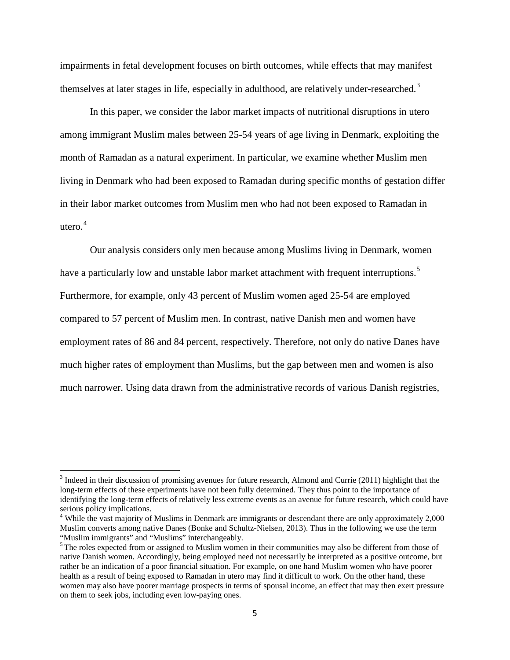impairments in fetal development focuses on birth outcomes, while effects that may manifest themselves at later stages in life, especially in adulthood, are relatively under-researched.<sup>[3](#page-4-1)</sup>

In this paper, we consider the labor market impacts of nutritional disruptions in utero among immigrant Muslim males between 25-54 years of age living in Denmark, exploiting the month of Ramadan as a natural experiment. In particular, we examine whether Muslim men living in Denmark who had been exposed to Ramadan during specific months of gestation differ in their labor market outcomes from Muslim men who had not been exposed to Ramadan in utero. $4$ 

Our analysis considers only men because among Muslims living in Denmark, women have a particularly low and unstable labor market attachment with frequent interruptions.<sup>[5](#page-5-1)</sup> Furthermore, for example, only 43 percent of Muslim women aged 25-54 are employed compared to 57 percent of Muslim men. In contrast, native Danish men and women have employment rates of 86 and 84 percent, respectively. Therefore, not only do native Danes have much higher rates of employment than Muslims, but the gap between men and women is also much narrower. Using data drawn from the administrative records of various Danish registries,

<span id="page-5-2"></span><sup>&</sup>lt;sup>3</sup> Indeed in their discussion of promising avenues for future research, Almond and Currie (2011) highlight that the long-term effects of these experiments have not been fully determined. They thus point to the importance of identifying the long-term effects of relatively less extreme events as an avenue for future research, which could have serious policy implications.

<span id="page-5-0"></span><sup>&</sup>lt;sup>4</sup> While the vast majority of Muslims in Denmark are immigrants or descendant there are only approximately 2,000 Muslim converts among native Danes (Bonke and Schultz-Nielsen, 2013). Thus in the following we use the term "Muslim immigrants" and "Muslims" interchangeably.

<span id="page-5-1"></span><sup>&</sup>lt;sup>5</sup>The roles expected from or assigned to Muslim women in their communities may also be different from those of native Danish women. Accordingly, being employed need not necessarily be interpreted as a positive outcome, but rather be an indication of a poor financial situation. For example, on one hand Muslim women who have poorer health as a result of being exposed to Ramadan in utero may find it difficult to work. On the other hand, these women may also have poorer marriage prospects in terms of spousal income, an effect that may then exert pressure on them to seek jobs, including even low-paying ones.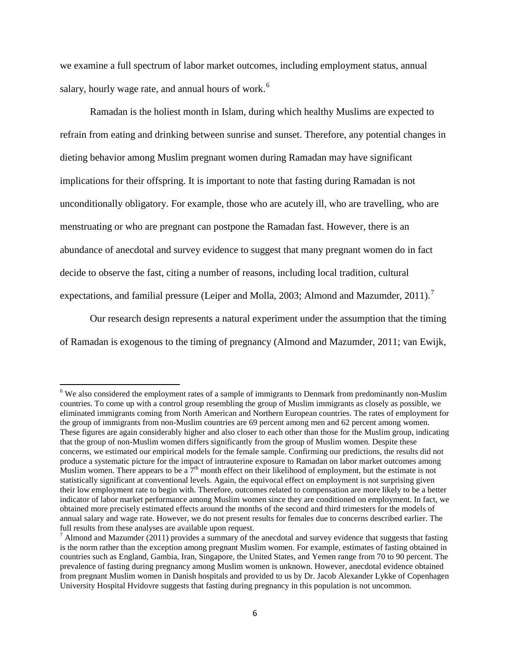we examine a full spectrum of labor market outcomes, including employment status, annual salary, hourly wage rate, and annual hours of work.<sup>[6](#page-5-2)</sup>

Ramadan is the holiest month in Islam, during which healthy Muslims are expected to refrain from eating and drinking between sunrise and sunset. Therefore, any potential changes in dieting behavior among Muslim pregnant women during Ramadan may have significant implications for their offspring. It is important to note that fasting during Ramadan is not unconditionally obligatory. For example, those who are acutely ill, who are travelling, who are menstruating or who are pregnant can postpone the Ramadan fast. However, there is an abundance of anecdotal and survey evidence to suggest that many pregnant women do in fact decide to observe the fast, citing a number of reasons, including local tradition, cultural expectations, and familial pressure (Leiper and Molla, 2003; Almond and Mazumder, 2011).<sup>[7](#page-6-0)</sup>

Our research design represents a natural experiment under the assumption that the timing of Ramadan is exogenous to the timing of pregnancy (Almond and Mazumder, 2011; van Ewijk,

<sup>&</sup>lt;sup>6</sup> We also considered the employment rates of a sample of immigrants to Denmark from predominantly non-Muslim countries. To come up with a control group resembling the group of Muslim immigrants as closely as possible, we eliminated immigrants coming from North American and Northern European countries. The rates of employment for the group of immigrants from non-Muslim countries are 69 percent among men and 62 percent among women. These figures are again considerably higher and also closer to each other than those for the Muslim group, indicating that the group of non-Muslim women differs significantly from the group of Muslim women. Despite these concerns, we estimated our empirical models for the female sample. Confirming our predictions, the results did not produce a systematic picture for the impact of intrauterine exposure to Ramadan on labor market outcomes among Muslim women. There appears to be a  $7<sup>th</sup>$  month effect on their likelihood of employment, but the estimate is not statistically significant at conventional levels. Again, the equivocal effect on employment is not surprising given their low employment rate to begin with. Therefore, outcomes related to compensation are more likely to be a better indicator of labor market performance among Muslim women since they are conditioned on employment. In fact, we obtained more precisely estimated effects around the months of the second and third trimesters for the models of annual salary and wage rate. However, we do not present results for females due to concerns described earlier. The

<span id="page-6-1"></span><span id="page-6-0"></span><sup>&</sup>lt;sup>7</sup> Almond and Mazumder (2011) provides a summary of the anecdotal and survey evidence that suggests that fasting is the norm rather than the exception among pregnant Muslim women. For example, estimates of fasting obtained in countries such as England, Gambia, Iran, Singapore, the United States, and Yemen range from 70 to 90 percent. The prevalence of fasting during pregnancy among Muslim women is unknown. However, anecdotal evidence obtained from pregnant Muslim women in Danish hospitals and provided to us by Dr. Jacob Alexander Lykke of Copenhagen University Hospital Hvidovre suggests that fasting during pregnancy in this population is not uncommon.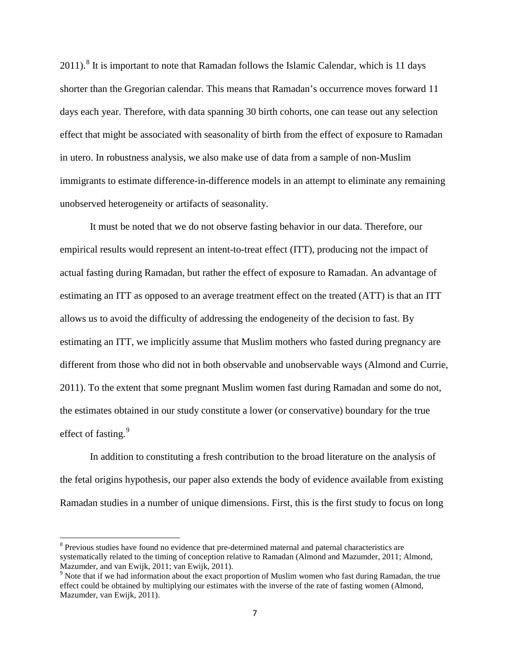$2011$ .<sup>[8](#page-6-1)</sup> It is important to note that Ramadan follows the Islamic Calendar, which is 11 days shorter than the Gregorian calendar. This means that Ramadan's occurrence moves forward 11 days each year. Therefore, with data spanning 30 birth cohorts, one can tease out any selection effect that might be associated with seasonality of birth from the effect of exposure to Ramadan in utero. In robustness analysis, we also make use of data from a sample of non-Muslim immigrants to estimate difference-in-difference models in an attempt to eliminate any remaining unobserved heterogeneity or artifacts of seasonality.

It must be noted that we do not observe fasting behavior in our data. Therefore, our empirical results would represent an intent-to-treat effect (ITT), producing not the impact of actual fasting during Ramadan, but rather the effect of exposure to Ramadan. An advantage of estimating an ITT as opposed to an average treatment effect on the treated (ATT) is that an ITT allows us to avoid the difficulty of addressing the endogeneity of the decision to fast. By estimating an ITT, we implicitly assume that Muslim mothers who fasted during pregnancy are different from those who did not in both observable and unobservable ways (Almond and Currie, 2011). To the extent that some pregnant Muslim women fast during Ramadan and some do not, the estimates obtained in our study constitute a lower (or conservative) boundary for the true effect of fasting.<sup>[9](#page-7-0)</sup>

In addition to constituting a fresh contribution to the broad literature on the analysis of the fetal origins hypothesis, our paper also extends the body of evidence available from existing Ramadan studies in a number of unique dimensions. First, this is the first study to focus on long

<span id="page-7-1"></span><sup>&</sup>lt;sup>8</sup> Previous studies have found no evidence that pre-determined maternal and paternal characteristics are systematically related to the timing of conception relative to Ramadan (Almond and Mazumder, 2011; Almond, Mazumder, and van Ewijk, 2011; van Ewijk, 2011).

<span id="page-7-0"></span> $9$  Note that if we had information about the exact proportion of Muslim women who fast during Ramadan, the true effect could be obtained by multiplying our estimates with the inverse of the rate of fasting women (Almond, Mazumder, van Ewijk, 2011).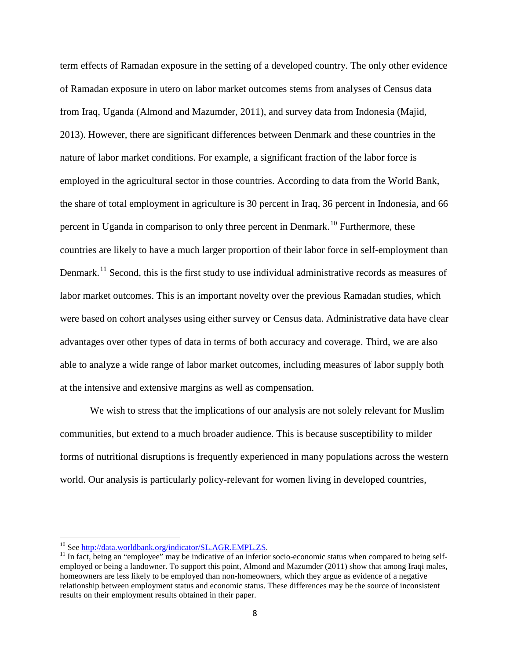term effects of Ramadan exposure in the setting of a developed country. The only other evidence of Ramadan exposure in utero on labor market outcomes stems from analyses of Census data from Iraq, Uganda (Almond and Mazumder, 2011), and survey data from Indonesia (Majid, 2013). However, there are significant differences between Denmark and these countries in the nature of labor market conditions. For example, a significant fraction of the labor force is employed in the agricultural sector in those countries. According to data from the World Bank, the share of total employment in agriculture is 30 percent in Iraq, 36 percent in Indonesia, and 66 percent in Uganda in comparison to only three percent in Denmark.<sup>[10](#page-7-1)</sup> Furthermore, these countries are likely to have a much larger proportion of their labor force in self-employment than Denmark.<sup>[11](#page-8-0)</sup> Second, this is the first study to use individual administrative records as measures of labor market outcomes. This is an important novelty over the previous Ramadan studies, which were based on cohort analyses using either survey or Census data. Administrative data have clear advantages over other types of data in terms of both accuracy and coverage. Third, we are also able to analyze a wide range of labor market outcomes, including measures of labor supply both at the intensive and extensive margins as well as compensation.

We wish to stress that the implications of our analysis are not solely relevant for Muslim communities, but extend to a much broader audience. This is because susceptibility to milder forms of nutritional disruptions is frequently experienced in many populations across the western world. Our analysis is particularly policy-relevant for women living in developed countries,

<span id="page-8-1"></span><span id="page-8-0"></span><sup>&</sup>lt;sup>10</sup> See <u>http://data.worldbank.org/indicator/SL.AGR.EMPL.ZS</u>.<br><sup>11</sup> In fact, being an "employee" may be indicative of an inferior socio-economic status when compared to being selfemployed or being a landowner. To support this point, Almond and Mazumder (2011) show that among Iraqi males, homeowners are less likely to be employed than non-homeowners, which they argue as evidence of a negative relationship between employment status and economic status. These differences may be the source of inconsistent results on their employment results obtained in their paper.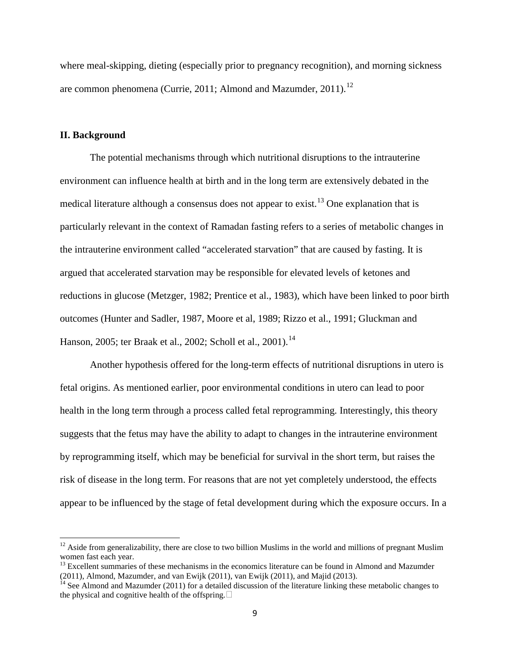where meal-skipping, dieting (especially prior to pregnancy recognition), and morning sickness are common phenomena (Currie, 2011; Almond and Mazumder, 2011).<sup>[12](#page-8-1)</sup>

# **II. Background**

The potential mechanisms through which nutritional disruptions to the intrauterine environment can influence health at birth and in the long term are extensively debated in the medical literature although a consensus does not appear to exist.<sup>[13](#page-9-0)</sup> One explanation that is particularly relevant in the context of Ramadan fasting refers to a series of metabolic changes in the intrauterine environment called "accelerated starvation" that are caused by fasting. It is argued that accelerated starvation may be responsible for elevated levels of ketones and reductions in glucose (Metzger, 1982; Prentice et al., 1983), which have been linked to poor birth outcomes (Hunter and Sadler, 1987, Moore et al, 1989; Rizzo et al., 1991; Gluckman and Hanson, 2005; ter Braak et al., 2002; Scholl et al., 2001).<sup>[14](#page-9-1)</sup>

Another hypothesis offered for the long-term effects of nutritional disruptions in utero is fetal origins. As mentioned earlier, poor environmental conditions in utero can lead to poor health in the long term through a process called fetal reprogramming. Interestingly, this theory suggests that the fetus may have the ability to adapt to changes in the intrauterine environment by reprogramming itself, which may be beneficial for survival in the short term, but raises the risk of disease in the long term. For reasons that are not yet completely understood, the effects appear to be influenced by the stage of fetal development during which the exposure occurs. In a

 $12$  Aside from generalizability, there are close to two billion Muslims in the world and millions of pregnant Muslim women fast each year.

<span id="page-9-2"></span><span id="page-9-0"></span><sup>&</sup>lt;sup>13</sup> Excellent summaries of these mechanisms in the economics literature can be found in Almond and Mazumder (2011), Almond, Mazumder, and van Ewijk (2011), van Ewijk (2011), and Majid (2013).<br><sup>14</sup> See Almond and Mazumder (2011) for a detailed discussion of the literature linking these metabolic changes to

<span id="page-9-1"></span>the physical and cognitive health of the offspring.  $\Box$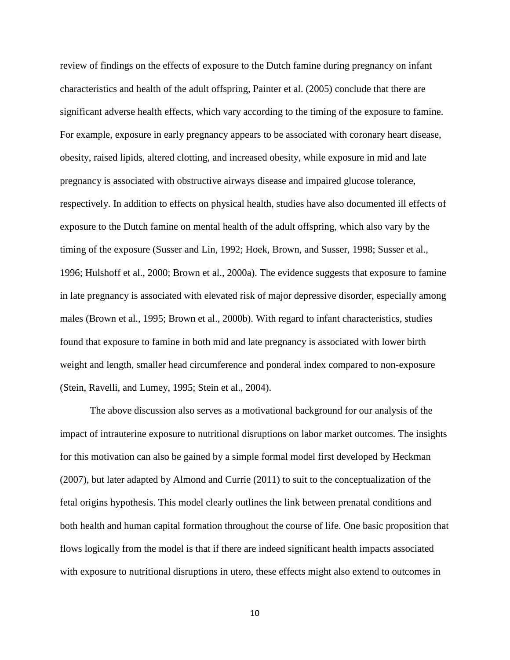review of findings on the effects of exposure to the Dutch famine during pregnancy on infant characteristics and health of the adult offspring, Painter et al. (2005) conclude that there are significant adverse health effects, which vary according to the timing of the exposure to famine. For example, exposure in early pregnancy appears to be associated with coronary heart disease, obesity, raised lipids, altered clotting, and increased obesity, while exposure in mid and late pregnancy is associated with obstructive airways disease and impaired glucose tolerance, respectively. In addition to effects on physical health, studies have also documented ill effects of exposure to the Dutch famine on mental health of the adult offspring, which also vary by the timing of the exposure (Susser and Lin, 1992; Hoek, Brown, and Susser, 1998; Susser et al., 1996; Hulshoff et al., 2000; Brown et al., 2000a). The evidence suggests that exposure to famine in late pregnancy is associated with elevated risk of major depressive disorder, especially among males (Brown et al., 1995; Brown et al., 2000b). With regard to infant characteristics, studies found that exposure to famine in both mid and late pregnancy is associated with lower birth weight and length, smaller head circumference and ponderal index compared to non-exposure (Stein, Ravelli, and Lumey, 1995; Stein et al., 2004).

The above discussion also serves as a motivational background for our analysis of the impact of intrauterine exposure to nutritional disruptions on labor market outcomes. The insights for this motivation can also be gained by a simple formal model first developed by Heckman (2007), but later adapted by Almond and Currie (2011) to suit to the conceptualization of the fetal origins hypothesis. This model clearly outlines the link between prenatal conditions and both health and human capital formation throughout the course of life. One basic proposition that flows logically from the model is that if there are indeed significant health impacts associated with exposure to nutritional disruptions in utero, these effects might also extend to outcomes in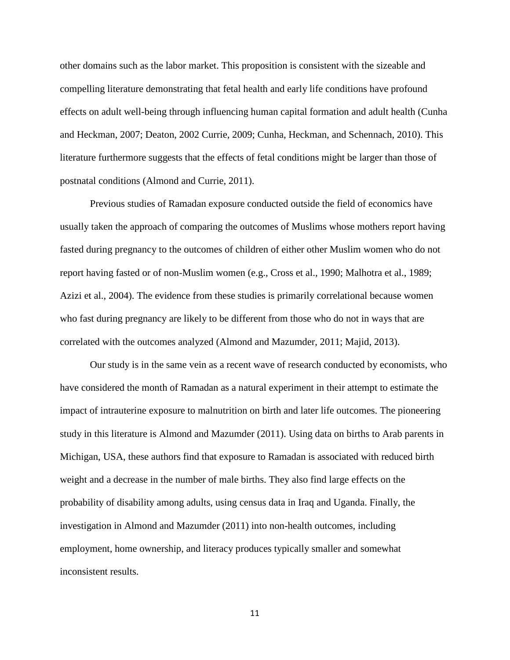other domains such as the labor market. This proposition is consistent with the sizeable and compelling literature demonstrating that fetal health and early life conditions have profound effects on adult well-being through influencing human capital formation and adult health (Cunha and Heckman, 2007; Deaton, 2002 Currie, 2009; Cunha, Heckman, and Schennach, 2010). This literature furthermore suggests that the effects of fetal conditions might be larger than those of postnatal conditions (Almond and Currie, 2011).

Previous studies of Ramadan exposure conducted outside the field of economics have usually taken the approach of comparing the outcomes of Muslims whose mothers report having fasted during pregnancy to the outcomes of children of either other Muslim women who do not report having fasted or of non-Muslim women (e.g., Cross et al., 1990; Malhotra et al., 1989; Azizi et al., 2004). The evidence from these studies is primarily correlational because women who fast during pregnancy are likely to be different from those who do not in ways that are correlated with the outcomes analyzed (Almond and Mazumder, 2011; Majid, 2013).

Our study is in the same vein as a recent wave of research conducted by economists, who have considered the month of Ramadan as a natural experiment in their attempt to estimate the impact of intrauterine exposure to malnutrition on birth and later life outcomes. The pioneering study in this literature is Almond and Mazumder (2011). Using data on births to Arab parents in Michigan, USA, these authors find that exposure to Ramadan is associated with reduced birth weight and a decrease in the number of male births. They also find large effects on the probability of disability among adults, using census data in Iraq and Uganda. Finally, the investigation in Almond and Mazumder (2011) into non-health outcomes, including employment, home ownership, and literacy produces typically smaller and somewhat inconsistent results.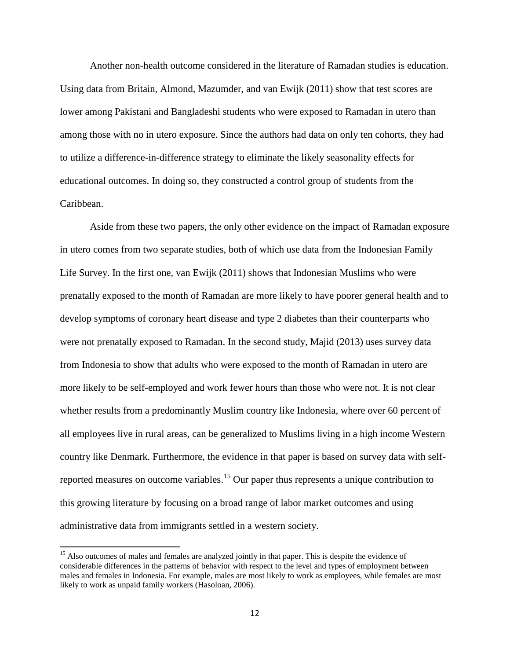Another non-health outcome considered in the literature of Ramadan studies is education. Using data from Britain, Almond, Mazumder, and van Ewijk (2011) show that test scores are lower among Pakistani and Bangladeshi students who were exposed to Ramadan in utero than among those with no in utero exposure. Since the authors had data on only ten cohorts, they had to utilize a difference-in-difference strategy to eliminate the likely seasonality effects for educational outcomes. In doing so, they constructed a control group of students from the Caribbean.

Aside from these two papers, the only other evidence on the impact of Ramadan exposure in utero comes from two separate studies, both of which use data from the Indonesian Family Life Survey. In the first one, van Ewijk (2011) shows that Indonesian Muslims who were prenatally exposed to the month of Ramadan are more likely to have poorer general health and to develop symptoms of coronary heart disease and type 2 diabetes than their counterparts who were not prenatally exposed to Ramadan. In the second study, Majid (2013) uses survey data from Indonesia to show that adults who were exposed to the month of Ramadan in utero are more likely to be self-employed and work fewer hours than those who were not. It is not clear whether results from a predominantly Muslim country like Indonesia, where over 60 percent of all employees live in rural areas, can be generalized to Muslims living in a high income Western country like Denmark. Furthermore, the evidence in that paper is based on survey data with self-reported measures on outcome variables.<sup>[15](#page-9-2)</sup> Our paper thus represents a unique contribution to this growing literature by focusing on a broad range of labor market outcomes and using administrative data from immigrants settled in a western society.

<span id="page-12-0"></span><sup>&</sup>lt;sup>15</sup> Also outcomes of males and females are analyzed jointly in that paper. This is despite the evidence of considerable differences in the patterns of behavior with respect to the level and types of employment between males and females in Indonesia. For example, males are most likely to work as employees, while females are most likely to work as unpaid family workers (Hasoloan, 2006).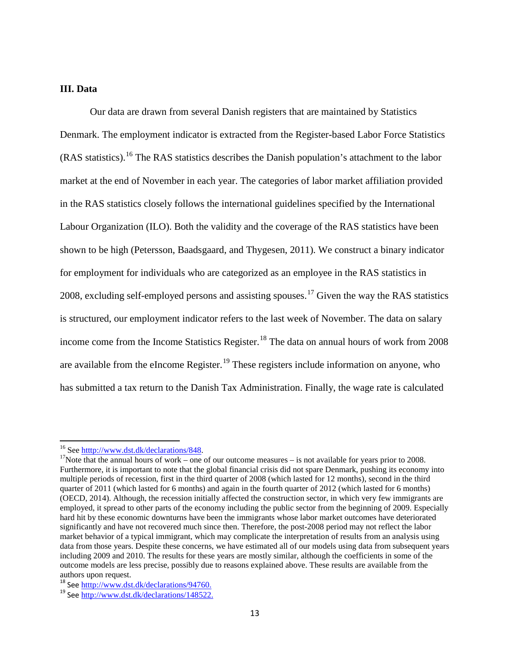# **III. Data**

Our data are drawn from several Danish registers that are maintained by Statistics Denmark. The employment indicator is extracted from the Register-based Labor Force Statistics (RAS statistics).[16](#page-12-0) The RAS statistics describes the Danish population's attachment to the labor market at the end of November in each year. The categories of labor market affiliation provided in the RAS statistics closely follows the international guidelines specified by the International Labour Organization (ILO). Both the validity and the coverage of the RAS statistics have been shown to be high (Petersson, Baadsgaard, and Thygesen, 2011). We construct a binary indicator for employment for individuals who are categorized as an employee in the RAS statistics in 2008, excluding self-employed persons and assisting spouses.<sup>[17](#page-13-0)</sup> Given the way the RAS statistics is structured, our employment indicator refers to the last week of November. The data on salary income come from the Income Statistics Register.<sup>[18](#page-13-1)</sup> The data on annual hours of work from 2008 are available from the eIncome Register.<sup>[19](#page-13-2)</sup> These registers include information on anyone, who has submitted a tax return to the Danish Tax Administration. Finally, the wage rate is calculated

<span id="page-13-0"></span><sup>&</sup>lt;sup>16</sup> See <u>htttp://www.dst.dk/declarations/848</u>.<br><sup>17</sup>Note that the annual hours of work – one of our outcome measures – is not available for years prior to 2008. Furthermore, it is important to note that the global financial crisis did not spare Denmark, pushing its economy into multiple periods of recession, first in the third quarter of 2008 (which lasted for 12 months), second in the third quarter of 2011 (which lasted for 6 months) and again in the fourth quarter of 2012 (which lasted for 6 months) (OECD, 2014). Although, the recession initially affected the construction sector, in which very few immigrants are employed, it spread to other parts of the economy including the public sector from the beginning of 2009. Especially hard hit by these economic downturns have been the immigrants whose labor market outcomes have deteriorated significantly and have not recovered much since then. Therefore, the post-2008 period may not reflect the labor market behavior of a typical immigrant, which may complicate the interpretation of results from an analysis using data from those years. Despite these concerns, we have estimated all of our models using data from subsequent years including 2009 and 2010. The results for these years are mostly similar, although the coefficients in some of the outcome models are less precise, possibly due to reasons explained above. These results are available from the authors upon request.<br><sup>18</sup> See htttp://www.dst.dk/declarations/94760.

<span id="page-13-3"></span>

<span id="page-13-2"></span><span id="page-13-1"></span> $19$  See [http://www.dst.dk/declarations/148522.](http://www.dst.dk/declarations/148522)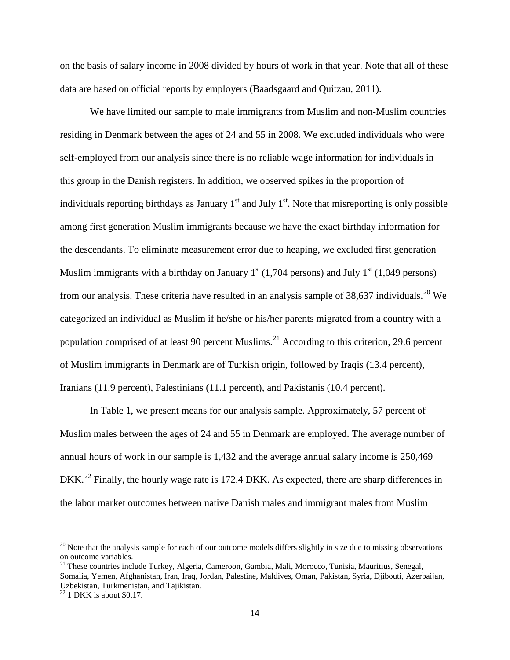on the basis of salary income in 2008 divided by hours of work in that year. Note that all of these data are based on official reports by employers (Baadsgaard and Quitzau, 2011).

We have limited our sample to male immigrants from Muslim and non-Muslim countries residing in Denmark between the ages of 24 and 55 in 2008. We excluded individuals who were self-employed from our analysis since there is no reliable wage information for individuals in this group in the Danish registers. In addition, we observed spikes in the proportion of individuals reporting birthdays as January  $1<sup>st</sup>$  and July  $1<sup>st</sup>$ . Note that misreporting is only possible among first generation Muslim immigrants because we have the exact birthday information for the descendants. To eliminate measurement error due to heaping, we excluded first generation Muslim immigrants with a birthday on January  $1<sup>st</sup> (1,704)$  persons) and July  $1<sup>st</sup> (1,049)$  persons) from our analysis. These criteria have resulted in an analysis sample of 38,637 individuals.<sup>[20](#page-13-3)</sup> We categorized an individual as Muslim if he/she or his/her parents migrated from a country with a population comprised of at least 90 percent Muslims.<sup>[21](#page-14-0)</sup> According to this criterion, 29.6 percent of Muslim immigrants in Denmark are of Turkish origin, followed by Iraqis (13.4 percent), Iranians (11.9 percent), Palestinians (11.1 percent), and Pakistanis (10.4 percent).

<span id="page-14-2"></span>In Table 1, we present means for our analysis sample. Approximately, 57 percent of Muslim males between the ages of 24 and 55 in Denmark are employed. The average number of annual hours of work in our sample is 1,432 and the average annual salary income is 250,469 DKK.<sup>[22](#page-14-1)</sup> Finally, the hourly wage rate is 172.4 DKK. As expected, there are sharp differences in the labor market outcomes between native Danish males and immigrant males from Muslim

 $20$  Note that the analysis sample for each of our outcome models differs slightly in size due to missing observations on outcome variables.

<span id="page-14-0"></span><sup>&</sup>lt;sup>21</sup> These countries include Turkey, Algeria, Cameroon, Gambia, Mali, Morocco, Tunisia, Mauritius, Senegal, Somalia, Yemen, Afghanistan, Iran, Iraq, Jordan, Palestine, Maldives, Oman, Pakistan, Syria, Djibouti, Azerbaijan, Uzbekistan, Turkmenistan, and Tajikistan. <sup>22</sup> 1 DKK is about \$0.17.

<span id="page-14-1"></span>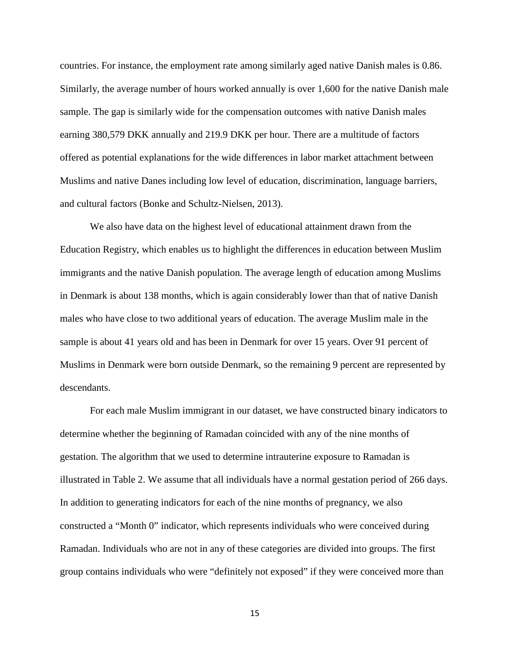countries. For instance, the employment rate among similarly aged native Danish males is 0.86. Similarly, the average number of hours worked annually is over 1,600 for the native Danish male sample. The gap is similarly wide for the compensation outcomes with native Danish males earning 380,579 DKK annually and 219.9 DKK per hour. There are a multitude of factors offered as potential explanations for the wide differences in labor market attachment between Muslims and native Danes including low level of education, discrimination, language barriers, and cultural factors (Bonke and Schultz-Nielsen, 2013).

We also have data on the highest level of educational attainment drawn from the Education Registry, which enables us to highlight the differences in education between Muslim immigrants and the native Danish population. The average length of education among Muslims in Denmark is about 138 months, which is again considerably lower than that of native Danish males who have close to two additional years of education. The average Muslim male in the sample is about 41 years old and has been in Denmark for over 15 years. Over 91 percent of Muslims in Denmark were born outside Denmark, so the remaining 9 percent are represented by descendants.

For each male Muslim immigrant in our dataset, we have constructed binary indicators to determine whether the beginning of Ramadan coincided with any of the nine months of gestation. The algorithm that we used to determine intrauterine exposure to Ramadan is illustrated in Table 2. We assume that all individuals have a normal gestation period of 266 days. In addition to generating indicators for each of the nine months of pregnancy, we also constructed a "Month 0" indicator, which represents individuals who were conceived during Ramadan. Individuals who are not in any of these categories are divided into groups. The first group contains individuals who were "definitely not exposed" if they were conceived more than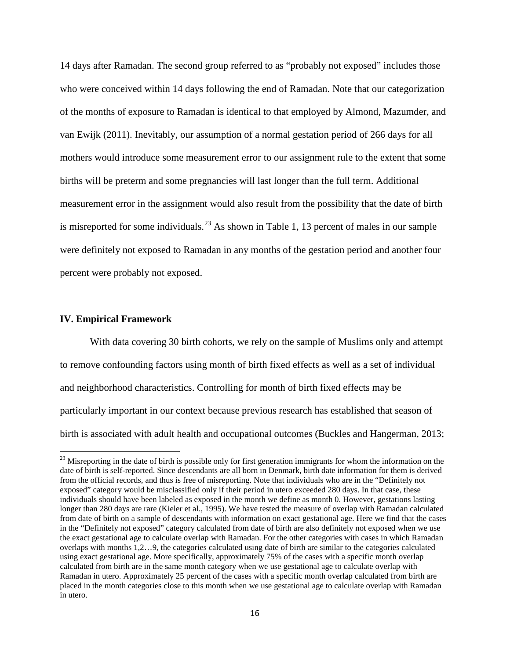14 days after Ramadan. The second group referred to as "probably not exposed" includes those who were conceived within 14 days following the end of Ramadan. Note that our categorization of the months of exposure to Ramadan is identical to that employed by Almond, Mazumder, and van Ewijk (2011). Inevitably, our assumption of a normal gestation period of 266 days for all mothers would introduce some measurement error to our assignment rule to the extent that some births will be preterm and some pregnancies will last longer than the full term. Additional measurement error in the assignment would also result from the possibility that the date of birth is misreported for some individuals.<sup>[23](#page-14-2)</sup> As shown in Table 1, 13 percent of males in our sample were definitely not exposed to Ramadan in any months of the gestation period and another four percent were probably not exposed.

#### **IV. Empirical Framework**

With data covering 30 birth cohorts, we rely on the sample of Muslims only and attempt to remove confounding factors using month of birth fixed effects as well as a set of individual and neighborhood characteristics. Controlling for month of birth fixed effects may be particularly important in our context because previous research has established that season of birth is associated with adult health and occupational outcomes (Buckles and Hangerman, 2013;

<span id="page-16-0"></span><sup>&</sup>lt;sup>23</sup> Misreporting in the date of birth is possible only for first generation immigrants for whom the information on the date of birth is self-reported. Since descendants are all born in Denmark, birth date information for them is derived from the official records, and thus is free of misreporting. Note that individuals who are in the "Definitely not exposed" category would be misclassified only if their period in utero exceeded 280 days. In that case, these individuals should have been labeled as exposed in the month we define as month 0. However, gestations lasting longer than 280 days are rare (Kieler et al., 1995). We have tested the measure of overlap with Ramadan calculated from date of birth on a sample of descendants with information on exact gestational age. Here we find that the cases in the "Definitely not exposed" category calculated from date of birth are also definitely not exposed when we use the exact gestational age to calculate overlap with Ramadan. For the other categories with cases in which Ramadan overlaps with months 1,2…9, the categories calculated using date of birth are similar to the categories calculated using exact gestational age. More specifically, approximately 75% of the cases with a specific month overlap calculated from birth are in the same month category when we use gestational age to calculate overlap with Ramadan in utero. Approximately 25 percent of the cases with a specific month overlap calculated from birth are placed in the month categories close to this month when we use gestational age to calculate overlap with Ramadan in utero.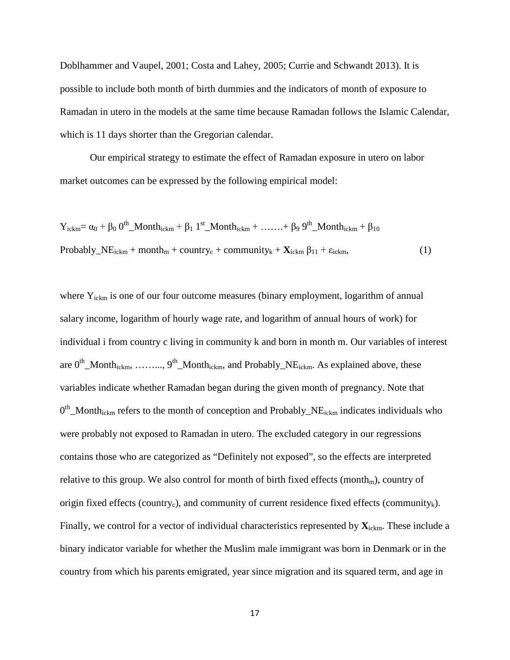Doblhammer and Vaupel, 2001; Costa and Lahey, 2005; Currie and Schwandt 2013). It is possible to include both month of birth dummies and the indicators of month of exposure to Ramadan in utero in the models at the same time because Ramadan follows the Islamic Calendar, which is 11 days shorter than the Gregorian calendar.

Our empirical strategy to estimate the effect of Ramadan exposure in utero on labor market outcomes can be expressed by the following empirical model:

$$
Y_{ickm} = \alpha_0 + \beta_0 0^{th} \_M \text{onth}_{ickm} + \beta_1 1^{st} \_M \text{onth}_{ickm} + \dots + \beta_9 9^{th} \_M \text{onth}_{ickm} + \beta_{10}
$$
  
Probability<sub>ckm</sub> + month<sub>m</sub> + country<sub>c</sub> + community<sub>k</sub> +  $X_{ickm}$   $\beta_{11} + \varepsilon_{ickm}$ , (1)

where  $Y_{i\text{ckm}}$  is one of our four outcome measures (binary employment, logarithm of annual salary income, logarithm of hourly wage rate, and logarithm of annual hours of work) for individual i from country c living in community k and born in month m. Our variables of interest are  $0^{th}$  Month<sub>ickm</sub>, ……..,  $9^{th}$  Month<sub>ickm</sub>, and Probably NE<sub>ickm</sub>. As explained above, these variables indicate whether Ramadan began during the given month of pregnancy. Note that  $0<sup>th</sup>$ \_Month<sub>ickm</sub> refers to the month of conception and Probably\_NE<sub>ickm</sub> indicates individuals who were probably not exposed to Ramadan in utero. The excluded category in our regressions contains those who are categorized as "Definitely not exposed", so the effects are interpreted relative to this group. We also control for month of birth fixed effects (month<sub>m</sub>), country of origin fixed effects (country<sub>c</sub>), and community of current residence fixed effects (community<sub>k</sub>). Finally, we control for a vector of individual characteristics represented by  $\mathbf{X}_{ickm}$ . These include a binary indicator variable for whether the Muslim male immigrant was born in Denmark or in the country from which his parents emigrated, year since migration and its squared term, and age in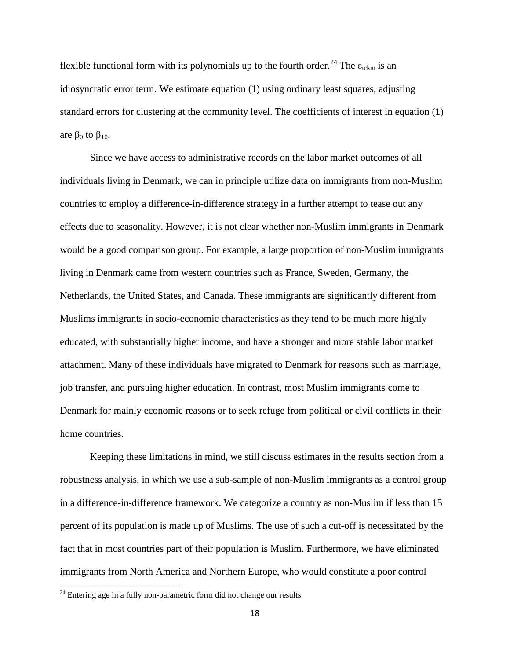flexible functional form with its polynomials up to the fourth order.<sup>[24](#page-16-0)</sup> The  $\varepsilon_{i\text{ckm}}$  is an idiosyncratic error term. We estimate equation (1) using ordinary least squares, adjusting standard errors for clustering at the community level. The coefficients of interest in equation (1) are  $β_0$  to  $β_{10}$ .

Since we have access to administrative records on the labor market outcomes of all individuals living in Denmark, we can in principle utilize data on immigrants from non-Muslim countries to employ a difference-in-difference strategy in a further attempt to tease out any effects due to seasonality. However, it is not clear whether non-Muslim immigrants in Denmark would be a good comparison group. For example, a large proportion of non-Muslim immigrants living in Denmark came from western countries such as France, Sweden, Germany, the Netherlands, the United States, and Canada. These immigrants are significantly different from Muslims immigrants in socio-economic characteristics as they tend to be much more highly educated, with substantially higher income, and have a stronger and more stable labor market attachment. Many of these individuals have migrated to Denmark for reasons such as marriage, job transfer, and pursuing higher education. In contrast, most Muslim immigrants come to Denmark for mainly economic reasons or to seek refuge from political or civil conflicts in their home countries.

Keeping these limitations in mind, we still discuss estimates in the results section from a robustness analysis, in which we use a sub-sample of non-Muslim immigrants as a control group in a difference-in-difference framework. We categorize a country as non-Muslim if less than 15 percent of its population is made up of Muslims. The use of such a cut-off is necessitated by the fact that in most countries part of their population is Muslim. Furthermore, we have eliminated immigrants from North America and Northern Europe, who would constitute a poor control

<span id="page-18-0"></span> $24$  Entering age in a fully non-parametric form did not change our results.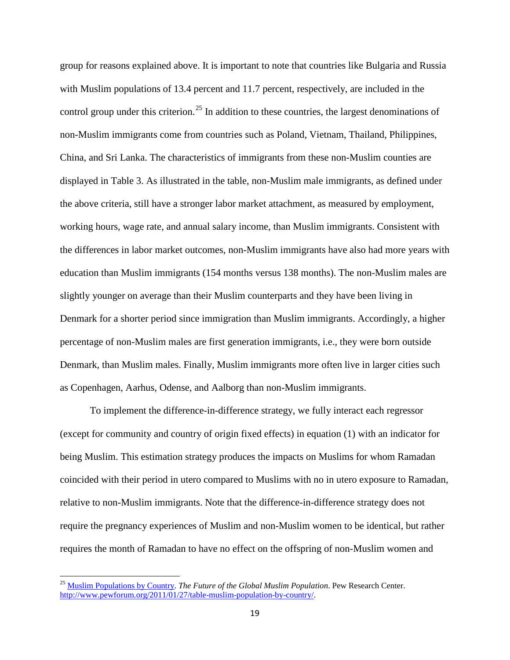group for reasons explained above. It is important to note that countries like Bulgaria and Russia with Muslim populations of 13.4 percent and 11.7 percent, respectively, are included in the control group under this criterion.<sup>[25](#page-18-0)</sup> In addition to these countries, the largest denominations of non-Muslim immigrants come from countries such as Poland, Vietnam, Thailand, Philippines, China, and Sri Lanka. The characteristics of immigrants from these non-Muslim counties are displayed in Table 3. As illustrated in the table, non-Muslim male immigrants, as defined under the above criteria, still have a stronger labor market attachment, as measured by employment, working hours, wage rate, and annual salary income, than Muslim immigrants. Consistent with the differences in labor market outcomes, non-Muslim immigrants have also had more years with education than Muslim immigrants (154 months versus 138 months). The non-Muslim males are slightly younger on average than their Muslim counterparts and they have been living in Denmark for a shorter period since immigration than Muslim immigrants. Accordingly, a higher percentage of non-Muslim males are first generation immigrants, i.e., they were born outside Denmark, than Muslim males. Finally, Muslim immigrants more often live in larger cities such as Copenhagen, Aarhus, Odense, and Aalborg than non-Muslim immigrants.

To implement the difference-in-difference strategy, we fully interact each regressor (except for community and country of origin fixed effects) in equation (1) with an indicator for being Muslim. This estimation strategy produces the impacts on Muslims for whom Ramadan coincided with their period in utero compared to Muslims with no in utero exposure to Ramadan, relative to non-Muslim immigrants. Note that the difference-in-difference strategy does not require the pregnancy experiences of Muslim and non-Muslim women to be identical, but rather requires the month of Ramadan to have no effect on the offspring of non-Muslim women and

<span id="page-19-0"></span><sup>&</sup>lt;sup>25</sup> [Muslim Populations by Country.](http://features.pewforum.org/muslim-population/) *The Future of the Global Muslim Population*. Pew Research Center. [http://www.pewforum.org/2011/01/27/table-muslim-population-by-country/.](http://www.pewforum.org/2011/01/27/table-muslim-population-by-country/)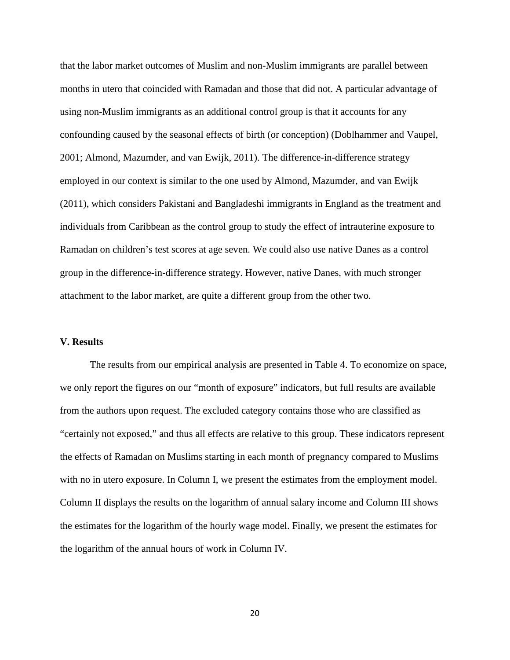that the labor market outcomes of Muslim and non-Muslim immigrants are parallel between months in utero that coincided with Ramadan and those that did not. A particular advantage of using non-Muslim immigrants as an additional control group is that it accounts for any confounding caused by the seasonal effects of birth (or conception) (Doblhammer and Vaupel, 2001; Almond, Mazumder, and van Ewijk, 2011). The difference-in-difference strategy employed in our context is similar to the one used by Almond, Mazumder, and van Ewijk (2011), which considers Pakistani and Bangladeshi immigrants in England as the treatment and individuals from Caribbean as the control group to study the effect of intrauterine exposure to Ramadan on children's test scores at age seven. We could also use native Danes as a control group in the difference-in-difference strategy. However, native Danes, with much stronger attachment to the labor market, are quite a different group from the other two.

# **V. Results**

The results from our empirical analysis are presented in Table 4. To economize on space, we only report the figures on our "month of exposure" indicators, but full results are available from the authors upon request. The excluded category contains those who are classified as "certainly not exposed," and thus all effects are relative to this group. These indicators represent the effects of Ramadan on Muslims starting in each month of pregnancy compared to Muslims with no in utero exposure. In Column I, we present the estimates from the employment model. Column II displays the results on the logarithm of annual salary income and Column III shows the estimates for the logarithm of the hourly wage model. Finally, we present the estimates for the logarithm of the annual hours of work in Column IV.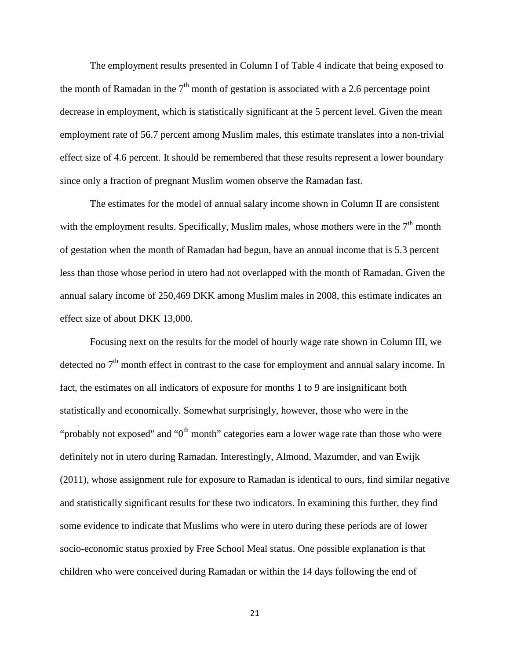The employment results presented in Column I of Table 4 indicate that being exposed to the month of Ramadan in the  $7<sup>th</sup>$  month of gestation is associated with a 2.6 percentage point decrease in employment, which is statistically significant at the 5 percent level. Given the mean employment rate of 56.7 percent among Muslim males, this estimate translates into a non-trivial effect size of 4.6 percent. It should be remembered that these results represent a lower boundary since only a fraction of pregnant Muslim women observe the Ramadan fast.

The estimates for the model of annual salary income shown in Column II are consistent with the employment results. Specifically, Muslim males, whose mothers were in the  $7<sup>th</sup>$  month of gestation when the month of Ramadan had begun, have an annual income that is 5.3 percent less than those whose period in utero had not overlapped with the month of Ramadan. Given the annual salary income of 250,469 DKK among Muslim males in 2008, this estimate indicates an effect size of about DKK 13,000.

Focusing next on the results for the model of hourly wage rate shown in Column III, we detected no  $7<sup>th</sup>$  month effect in contrast to the case for employment and annual salary income. In fact, the estimates on all indicators of exposure for months 1 to 9 are insignificant both statistically and economically. Somewhat surprisingly, however, those who were in the "probably not exposed" and " $0<sup>th</sup>$  month" categories earn a lower wage rate than those who were definitely not in utero during Ramadan. Interestingly, Almond, Mazumder, and van Ewijk (2011), whose assignment rule for exposure to Ramadan is identical to ours, find similar negative and statistically significant results for these two indicators. In examining this further, they find some evidence to indicate that Muslims who were in utero during these periods are of lower socio-economic status proxied by Free School Meal status. One possible explanation is that children who were conceived during Ramadan or within the 14 days following the end of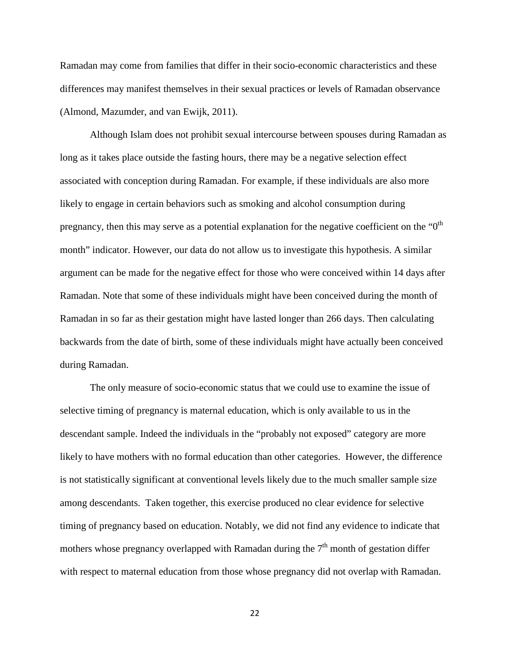Ramadan may come from families that differ in their socio-economic characteristics and these differences may manifest themselves in their sexual practices or levels of Ramadan observance (Almond, Mazumder, and van Ewijk, 2011).

Although Islam does not prohibit sexual intercourse between spouses during Ramadan as long as it takes place outside the fasting hours, there may be a negative selection effect associated with conception during Ramadan. For example, if these individuals are also more likely to engage in certain behaviors such as smoking and alcohol consumption during pregnancy, then this may serve as a potential explanation for the negative coefficient on the " $0<sup>th</sup>$ month" indicator. However, our data do not allow us to investigate this hypothesis. A similar argument can be made for the negative effect for those who were conceived within 14 days after Ramadan. Note that some of these individuals might have been conceived during the month of Ramadan in so far as their gestation might have lasted longer than 266 days. Then calculating backwards from the date of birth, some of these individuals might have actually been conceived during Ramadan.

The only measure of socio-economic status that we could use to examine the issue of selective timing of pregnancy is maternal education, which is only available to us in the descendant sample. Indeed the individuals in the "probably not exposed" category are more likely to have mothers with no formal education than other categories. However, the difference is not statistically significant at conventional levels likely due to the much smaller sample size among descendants. Taken together, this exercise produced no clear evidence for selective timing of pregnancy based on education. Notably, we did not find any evidence to indicate that mothers whose pregnancy overlapped with Ramadan during the  $7<sup>th</sup>$  month of gestation differ with respect to maternal education from those whose pregnancy did not overlap with Ramadan.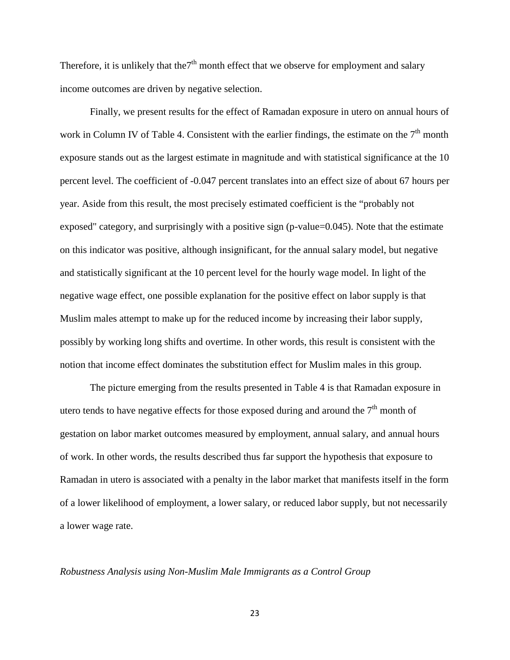Therefore, it is unlikely that the<sup>7th</sup> month effect that we observe for employment and salary income outcomes are driven by negative selection.

Finally, we present results for the effect of Ramadan exposure in utero on annual hours of work in Column IV of Table 4. Consistent with the earlier findings, the estimate on the  $7<sup>th</sup>$  month exposure stands out as the largest estimate in magnitude and with statistical significance at the 10 percent level. The coefficient of -0.047 percent translates into an effect size of about 67 hours per year. Aside from this result, the most precisely estimated coefficient is the "probably not exposed" category, and surprisingly with a positive sign (p-value=0.045). Note that the estimate on this indicator was positive, although insignificant, for the annual salary model, but negative and statistically significant at the 10 percent level for the hourly wage model. In light of the negative wage effect, one possible explanation for the positive effect on labor supply is that Muslim males attempt to make up for the reduced income by increasing their labor supply, possibly by working long shifts and overtime. In other words, this result is consistent with the notion that income effect dominates the substitution effect for Muslim males in this group.

The picture emerging from the results presented in Table 4 is that Ramadan exposure in utero tends to have negative effects for those exposed during and around the  $7<sup>th</sup>$  month of gestation on labor market outcomes measured by employment, annual salary, and annual hours of work. In other words, the results described thus far support the hypothesis that exposure to Ramadan in utero is associated with a penalty in the labor market that manifests itself in the form of a lower likelihood of employment, a lower salary, or reduced labor supply, but not necessarily a lower wage rate.

#### *Robustness Analysis using Non-Muslim Male Immigrants as a Control Group*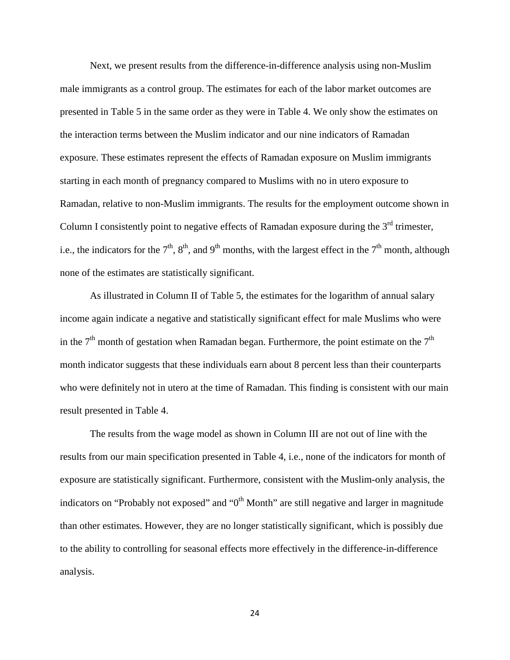Next, we present results from the difference-in-difference analysis using non-Muslim male immigrants as a control group. The estimates for each of the labor market outcomes are presented in Table 5 in the same order as they were in Table 4. We only show the estimates on the interaction terms between the Muslim indicator and our nine indicators of Ramadan exposure. These estimates represent the effects of Ramadan exposure on Muslim immigrants starting in each month of pregnancy compared to Muslims with no in utero exposure to Ramadan, relative to non-Muslim immigrants. The results for the employment outcome shown in Column I consistently point to negative effects of Ramadan exposure during the  $3<sup>rd</sup>$  trimester, i.e., the indicators for the  $7<sup>th</sup>$ ,  $8<sup>th</sup>$ , and  $9<sup>th</sup>$  months, with the largest effect in the  $7<sup>th</sup>$  month, although none of the estimates are statistically significant.

As illustrated in Column II of Table 5, the estimates for the logarithm of annual salary income again indicate a negative and statistically significant effect for male Muslims who were in the  $7<sup>th</sup>$  month of gestation when Ramadan began. Furthermore, the point estimate on the  $7<sup>th</sup>$ month indicator suggests that these individuals earn about 8 percent less than their counterparts who were definitely not in utero at the time of Ramadan. This finding is consistent with our main result presented in Table 4.

The results from the wage model as shown in Column III are not out of line with the results from our main specification presented in Table 4, i.e., none of the indicators for month of exposure are statistically significant. Furthermore, consistent with the Muslim-only analysis, the indicators on "Probably not exposed" and " $0<sup>th</sup>$  Month" are still negative and larger in magnitude than other estimates. However, they are no longer statistically significant, which is possibly due to the ability to controlling for seasonal effects more effectively in the difference-in-difference analysis.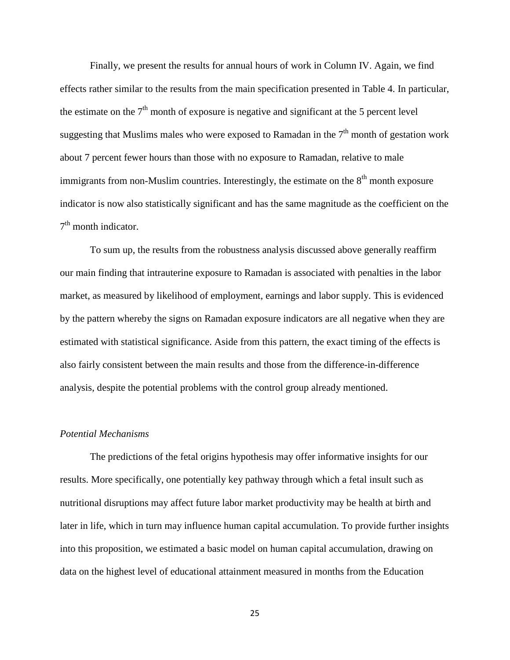Finally, we present the results for annual hours of work in Column IV. Again, we find effects rather similar to the results from the main specification presented in Table 4. In particular, the estimate on the  $7<sup>th</sup>$  month of exposure is negative and significant at the 5 percent level suggesting that Muslims males who were exposed to Ramadan in the  $7<sup>th</sup>$  month of gestation work about 7 percent fewer hours than those with no exposure to Ramadan, relative to male immigrants from non-Muslim countries. Interestingly, the estimate on the  $8<sup>th</sup>$  month exposure indicator is now also statistically significant and has the same magnitude as the coefficient on the  $7<sup>th</sup>$  month indicator.

To sum up, the results from the robustness analysis discussed above generally reaffirm our main finding that intrauterine exposure to Ramadan is associated with penalties in the labor market, as measured by likelihood of employment, earnings and labor supply. This is evidenced by the pattern whereby the signs on Ramadan exposure indicators are all negative when they are estimated with statistical significance. Aside from this pattern, the exact timing of the effects is also fairly consistent between the main results and those from the difference-in-difference analysis, despite the potential problems with the control group already mentioned.

# *Potential Mechanisms*

The predictions of the fetal origins hypothesis may offer informative insights for our results. More specifically, one potentially key pathway through which a fetal insult such as nutritional disruptions may affect future labor market productivity may be health at birth and later in life, which in turn may influence human capital accumulation. To provide further insights into this proposition, we estimated a basic model on human capital accumulation, drawing on data on the highest level of educational attainment measured in months from the Education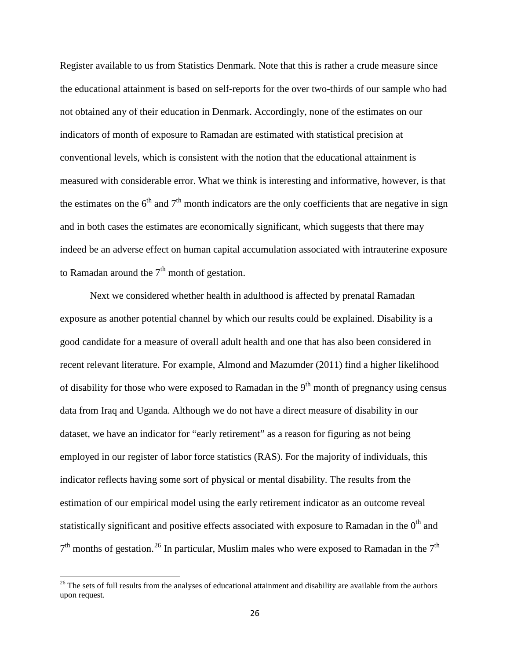Register available to us from Statistics Denmark. Note that this is rather a crude measure since the educational attainment is based on self-reports for the over two-thirds of our sample who had not obtained any of their education in Denmark. Accordingly, none of the estimates on our indicators of month of exposure to Ramadan are estimated with statistical precision at conventional levels, which is consistent with the notion that the educational attainment is measured with considerable error. What we think is interesting and informative, however, is that the estimates on the  $6<sup>th</sup>$  and  $7<sup>th</sup>$  month indicators are the only coefficients that are negative in sign and in both cases the estimates are economically significant, which suggests that there may indeed be an adverse effect on human capital accumulation associated with intrauterine exposure to Ramadan around the  $7<sup>th</sup>$  month of gestation.

Next we considered whether health in adulthood is affected by prenatal Ramadan exposure as another potential channel by which our results could be explained. Disability is a good candidate for a measure of overall adult health and one that has also been considered in recent relevant literature. For example, Almond and Mazumder (2011) find a higher likelihood of disability for those who were exposed to Ramadan in the  $9<sup>th</sup>$  month of pregnancy using census data from Iraq and Uganda. Although we do not have a direct measure of disability in our dataset, we have an indicator for "early retirement" as a reason for figuring as not being employed in our register of labor force statistics (RAS). For the majority of individuals, this indicator reflects having some sort of physical or mental disability. The results from the estimation of our empirical model using the early retirement indicator as an outcome reveal statistically significant and positive effects associated with exposure to Ramadan in the  $0<sup>th</sup>$  and  $7<sup>th</sup>$  months of gestation.<sup>[26](#page-19-0)</sup> In particular, Muslim males who were exposed to Ramadan in the  $7<sup>th</sup>$ 

<span id="page-26-0"></span> $26$  The sets of full results from the analyses of educational attainment and disability are available from the authors upon request.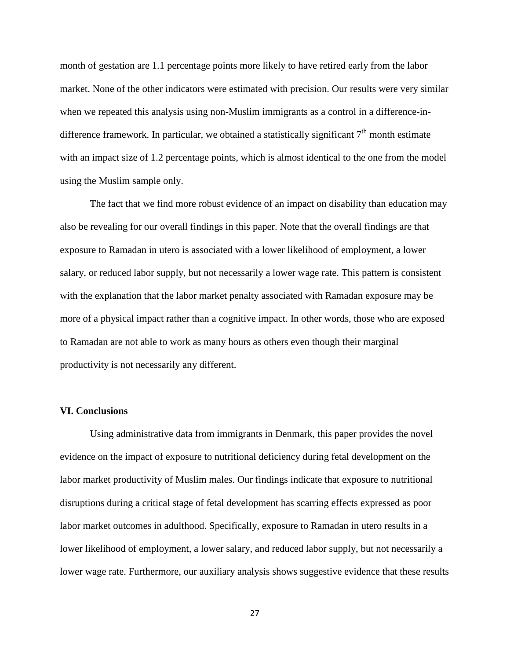month of gestation are 1.1 percentage points more likely to have retired early from the labor market. None of the other indicators were estimated with precision. Our results were very similar when we repeated this analysis using non-Muslim immigrants as a control in a difference-indifference framework. In particular, we obtained a statistically significant  $7<sup>th</sup>$  month estimate with an impact size of 1.2 percentage points, which is almost identical to the one from the model using the Muslim sample only.

The fact that we find more robust evidence of an impact on disability than education may also be revealing for our overall findings in this paper. Note that the overall findings are that exposure to Ramadan in utero is associated with a lower likelihood of employment, a lower salary, or reduced labor supply, but not necessarily a lower wage rate. This pattern is consistent with the explanation that the labor market penalty associated with Ramadan exposure may be more of a physical impact rather than a cognitive impact. In other words, those who are exposed to Ramadan are not able to work as many hours as others even though their marginal productivity is not necessarily any different.

# **VI. Conclusions**

Using administrative data from immigrants in Denmark, this paper provides the novel evidence on the impact of exposure to nutritional deficiency during fetal development on the labor market productivity of Muslim males. Our findings indicate that exposure to nutritional disruptions during a critical stage of fetal development has scarring effects expressed as poor labor market outcomes in adulthood. Specifically, exposure to Ramadan in utero results in a lower likelihood of employment, a lower salary, and reduced labor supply, but not necessarily a lower wage rate. Furthermore, our auxiliary analysis shows suggestive evidence that these results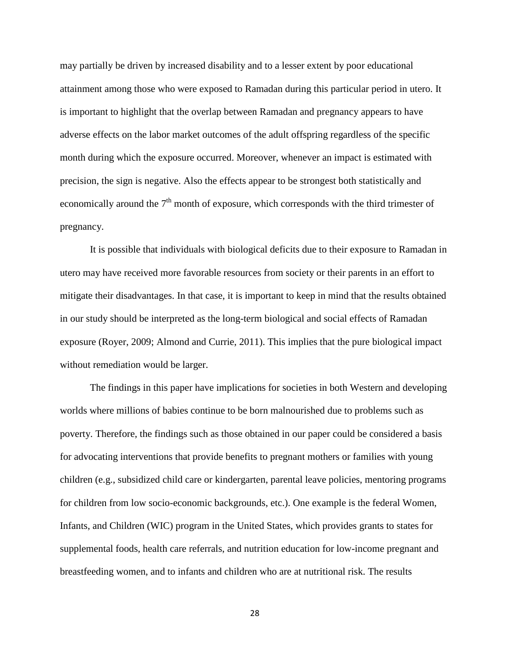may partially be driven by increased disability and to a lesser extent by poor educational attainment among those who were exposed to Ramadan during this particular period in utero. It is important to highlight that the overlap between Ramadan and pregnancy appears to have adverse effects on the labor market outcomes of the adult offspring regardless of the specific month during which the exposure occurred. Moreover, whenever an impact is estimated with precision, the sign is negative. Also the effects appear to be strongest both statistically and economically around the  $7<sup>th</sup>$  month of exposure, which corresponds with the third trimester of pregnancy.

It is possible that individuals with biological deficits due to their exposure to Ramadan in utero may have received more favorable resources from society or their parents in an effort to mitigate their disadvantages. In that case, it is important to keep in mind that the results obtained in our study should be interpreted as the long-term biological and social effects of Ramadan exposure (Royer, 2009; Almond and Currie, 2011). This implies that the pure biological impact without remediation would be larger.

<span id="page-28-0"></span>The findings in this paper have implications for societies in both Western and developing worlds where millions of babies continue to be born malnourished due to problems such as poverty. Therefore, the findings such as those obtained in our paper could be considered a basis for advocating interventions that provide benefits to pregnant mothers or families with young children (e.g., subsidized child care or kindergarten, parental leave policies, mentoring programs for children from low socio-economic backgrounds, etc.). One example is the federal Women, Infants, and Children (WIC) program in the United States, which provides grants to states for supplemental foods, health care referrals, and nutrition education for low-income pregnant and breastfeeding women, and to infants and children who are at nutritional risk. The results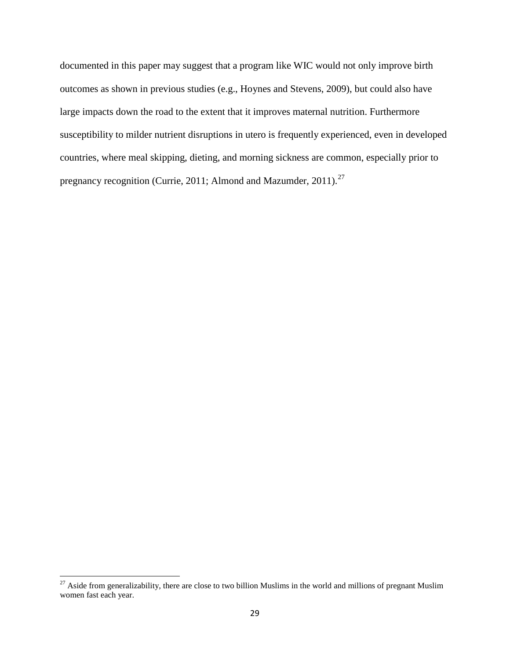documented in this paper may suggest that a program like WIC would not only improve birth outcomes as shown in previous studies (e.g., Hoynes and Stevens, 2009), but could also have large impacts down the road to the extent that it improves maternal nutrition. Furthermore susceptibility to milder nutrient disruptions in utero is frequently experienced, even in developed countries, where meal skipping, dieting, and morning sickness are common, especially prior to pregnancy recognition (Currie, 2011; Almond and Mazumder, 2011).<sup>[27](#page-26-0)</sup>

 $27$  Aside from generalizability, there are close to two billion Muslims in the world and millions of pregnant Muslim women fast each year.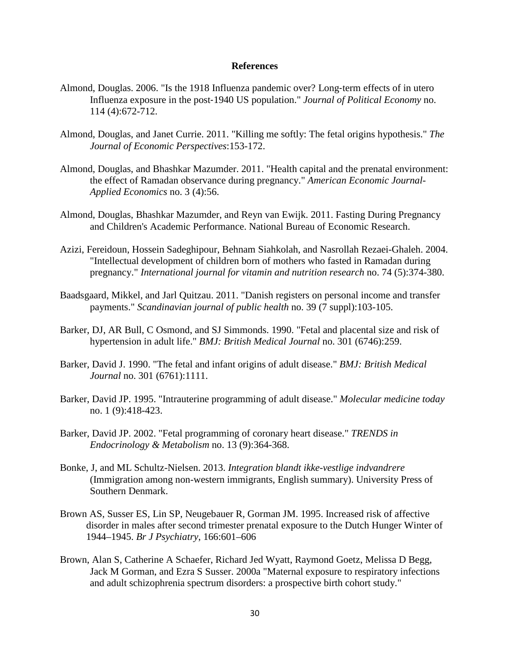### **References**

- Almond, Douglas. 2006. "Is the 1918 Influenza pandemic over? Long‐term effects of in utero Influenza exposure in the post‐1940 US population." *Journal of Political Economy* no. 114 (4):672-712.
- Almond, Douglas, and Janet Currie. 2011. "Killing me softly: The fetal origins hypothesis." *The Journal of Economic Perspectives*:153-172.
- Almond, Douglas, and Bhashkar Mazumder. 2011. "Health capital and the prenatal environment: the effect of Ramadan observance during pregnancy." *American Economic Journal-Applied Economics* no. 3 (4):56.
- Almond, Douglas, Bhashkar Mazumder, and Reyn van Ewijk. 2011. Fasting During Pregnancy and Children's Academic Performance. National Bureau of Economic Research.
- Azizi, Fereidoun, Hossein Sadeghipour, Behnam Siahkolah, and Nasrollah Rezaei-Ghaleh. 2004. "Intellectual development of children born of mothers who fasted in Ramadan during pregnancy." *International journal for vitamin and nutrition research* no. 74 (5):374-380.
- Baadsgaard, Mikkel, and Jarl Quitzau. 2011. "Danish registers on personal income and transfer payments." *Scandinavian journal of public health* no. 39 (7 suppl):103-105.
- Barker, DJ, AR Bull, C Osmond, and SJ Simmonds. 1990. "Fetal and placental size and risk of hypertension in adult life." *BMJ: British Medical Journal* no. 301 (6746):259.
- Barker, David J. 1990. "The fetal and infant origins of adult disease." *BMJ: British Medical Journal* no. 301 (6761):1111.
- Barker, David JP. 1995. "Intrauterine programming of adult disease." *Molecular medicine today* no. 1 (9):418-423.
- Barker, David JP. 2002. "Fetal programming of coronary heart disease." *TRENDS in Endocrinology & Metabolism* no. 13 (9):364-368.
- Bonke, J, and ML Schultz-Nielsen. 2013. *Integration blandt ikke-vestlige indvandrere*  (Immigration among non-western immigrants, English summary). University Press of Southern Denmark.
- Brown AS, Susser ES, Lin SP, Neugebauer R, Gorman JM. 1995. Increased risk of affective disorder in males after second trimester prenatal exposure to the Dutch Hunger Winter of 1944–1945. *Br J Psychiatry*, 166:601–606
- Brown, Alan S, Catherine A Schaefer, Richard Jed Wyatt, Raymond Goetz, Melissa D Begg, Jack M Gorman, and Ezra S Susser. 2000a "Maternal exposure to respiratory infections and adult schizophrenia spectrum disorders: a prospective birth cohort study."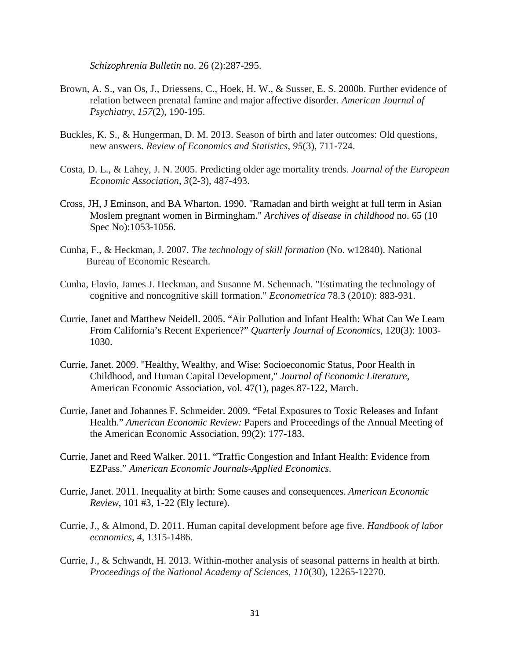*Schizophrenia Bulletin* no. 26 (2):287-295.

- Brown, A. S., van Os, J., Driessens, C., Hoek, H. W., & Susser, E. S. 2000b. Further evidence of relation between prenatal famine and major affective disorder. *American Journal of Psychiatry*, *157*(2), 190-195.
- Buckles, K. S., & Hungerman, D. M. 2013. Season of birth and later outcomes: Old questions, new answers. *Review of Economics and Statistics*, *95*(3), 711-724.
- Costa, D. L., & Lahey, J. N. 2005. Predicting older age mortality trends. *Journal of the European Economic Association*, *3*(2‐3), 487-493.
- Cross, JH, J Eminson, and BA Wharton. 1990. "Ramadan and birth weight at full term in Asian Moslem pregnant women in Birmingham." *Archives of disease in childhood* no. 65 (10 Spec No):1053-1056.
- Cunha, F., & Heckman, J. 2007. *The technology of skill formation* (No. w12840). National Bureau of Economic Research.
- Cunha, Flavio, James J. Heckman, and Susanne M. Schennach. "Estimating the technology of cognitive and noncognitive skill formation." *Econometrica* 78.3 (2010): 883-931.
- Currie, Janet and Matthew Neidell. 2005. "Air Pollution and Infant Health: What Can We Learn From California's Recent Experience?" *Quarterly Journal of Economics*, 120(3): 1003- 1030.
- Currie, Janet. 2009. "Healthy, Wealthy, and Wise: Socioeconomic Status, Poor Health in Childhood, and Human Capital Development," *Journal of Economic Literature*, American Economic Association, vol. 47(1), pages 87-122, March.
- Currie, Janet and Johannes F. Schmeider. 2009. "Fetal Exposures to Toxic Releases and Infant Health." *American Economic Review:* Papers and Proceedings of the Annual Meeting of the American Economic Association, 99(2): 177-183.
- Currie, Janet and Reed Walker. 2011. "Traffic Congestion and Infant Health: Evidence from EZPass." *American Economic Journals-Applied Economics*.
- Currie, Janet. 2011. Inequality at birth: Some causes and consequences. *American Economic Review*, 101 #3, 1-22 (Ely lecture).
- Currie, J., & Almond, D. 2011. Human capital development before age five. *Handbook of labor economics*, *4*, 1315-1486.
- Currie, J., & Schwandt, H. 2013. Within-mother analysis of seasonal patterns in health at birth. *Proceedings of the National Academy of Sciences*, *110*(30), 12265-12270.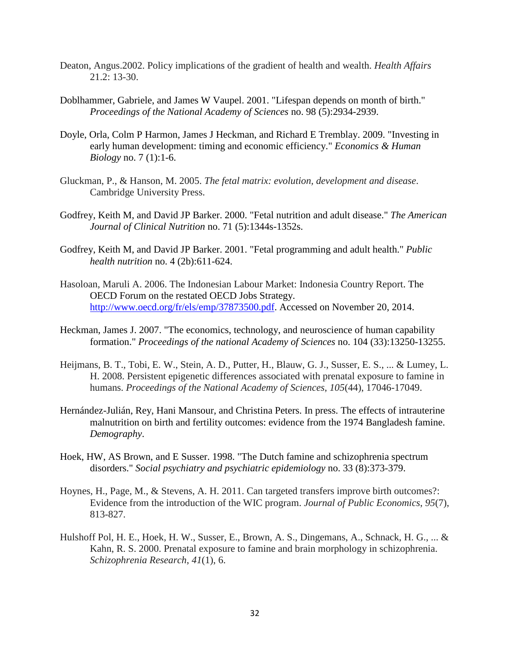- Deaton, Angus.2002. Policy implications of the gradient of health and wealth. *Health Affairs* 21.2: 13-30.
- Doblhammer, Gabriele, and James W Vaupel. 2001. "Lifespan depends on month of birth." *Proceedings of the National Academy of Sciences* no. 98 (5):2934-2939.
- Doyle, Orla, Colm P Harmon, James J Heckman, and Richard E Tremblay. 2009. "Investing in early human development: timing and economic efficiency." *Economics & Human Biology* no. 7 (1):1-6.
- Gluckman, P., & Hanson, M. 2005. *The fetal matrix: evolution, development and disease*. Cambridge University Press.
- Godfrey, Keith M, and David JP Barker. 2000. "Fetal nutrition and adult disease." *The American Journal of Clinical Nutrition* no. 71 (5):1344s-1352s.
- Godfrey, Keith M, and David JP Barker. 2001. "Fetal programming and adult health." *Public health nutrition* no. 4 (2b):611-624.
- Hasoloan, Maruli A. 2006. The Indonesian Labour Market: Indonesia Country Report. The OECD Forum on the restated OECD Jobs Strategy. [http://www.oecd.org/fr/els/emp/37873500.pdf.](http://www.oecd.org/fr/els/emp/37873500.pdf) Accessed on November 20, 2014.
- Heckman, James J. 2007. "The economics, technology, and neuroscience of human capability formation." *Proceedings of the national Academy of Sciences* no. 104 (33):13250-13255.
- Heijmans, B. T., Tobi, E. W., Stein, A. D., Putter, H., Blauw, G. J., Susser, E. S., ... & Lumey, L. H. 2008. Persistent epigenetic differences associated with prenatal exposure to famine in humans. *Proceedings of the National Academy of Sciences*, *105*(44), 17046-17049.
- Hernández-Julián, Rey, Hani Mansour, and Christina Peters. In press. The effects of intrauterine malnutrition on birth and fertility outcomes: evidence from the 1974 Bangladesh famine. *Demography*.
- Hoek, HW, AS Brown, and E Susser. 1998. "The Dutch famine and schizophrenia spectrum disorders." *Social psychiatry and psychiatric epidemiology* no. 33 (8):373-379.
- Hoynes, H., Page, M., & Stevens, A. H. 2011. Can targeted transfers improve birth outcomes?: Evidence from the introduction of the WIC program. *Journal of Public Economics*, *95*(7), 813-827.
- Hulshoff Pol, H. E., Hoek, H. W., Susser, E., Brown, A. S., Dingemans, A., Schnack, H. G., ... & Kahn, R. S. 2000. Prenatal exposure to famine and brain morphology in schizophrenia. *Schizophrenia Research*, *41*(1), 6.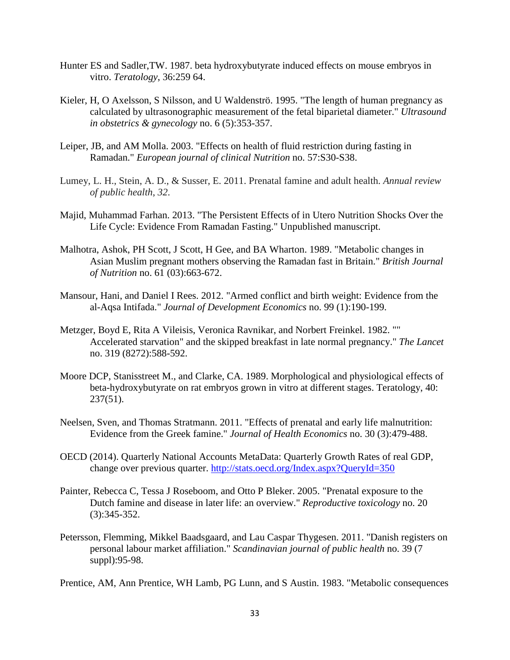- Hunter ES and Sadler,TW. 1987. beta hydroxybutyrate induced effects on mouse embryos in vitro. *Teratology*, 36:259 64.
- Kieler, H, O Axelsson, S Nilsson, and U Waldenströ. 1995. "The length of human pregnancy as calculated by ultrasonographic measurement of the fetal biparietal diameter." *Ultrasound in obstetrics & gynecology* no. 6 (5):353-357.
- Leiper, JB, and AM Molla. 2003. "Effects on health of fluid restriction during fasting in Ramadan." *European journal of clinical Nutrition* no. 57:S30-S38.
- Lumey, L. H., Stein, A. D., & Susser, E. 2011. Prenatal famine and adult health. *Annual review of public health*, *32*.
- Majid, Muhammad Farhan. 2013. "The Persistent Effects of in Utero Nutrition Shocks Over the Life Cycle: Evidence From Ramadan Fasting." Unpublished manuscript.
- Malhotra, Ashok, PH Scott, J Scott, H Gee, and BA Wharton. 1989. "Metabolic changes in Asian Muslim pregnant mothers observing the Ramadan fast in Britain." *British Journal of Nutrition* no. 61 (03):663-672.
- Mansour, Hani, and Daniel I Rees. 2012. "Armed conflict and birth weight: Evidence from the al-Aqsa Intifada." *Journal of Development Economics* no. 99 (1):190-199.
- Metzger, Boyd E, Rita A Vileisis, Veronica Ravnikar, and Norbert Freinkel. 1982. "" Accelerated starvation" and the skipped breakfast in late normal pregnancy." *The Lancet* no. 319 (8272):588-592.
- Moore DCP, Stanisstreet M., and Clarke, CA. 1989. Morphological and physiological effects of beta-hydroxybutyrate on rat embryos grown in vitro at different stages. Teratology, 40: 237(51).
- Neelsen, Sven, and Thomas Stratmann. 2011. "Effects of prenatal and early life malnutrition: Evidence from the Greek famine." *Journal of Health Economics* no. 30 (3):479-488.
- OECD (2014). Quarterly National Accounts MetaData: Quarterly Growth Rates of real GDP, change over previous quarter.<http://stats.oecd.org/Index.aspx?QueryId=350>
- Painter, Rebecca C, Tessa J Roseboom, and Otto P Bleker. 2005. "Prenatal exposure to the Dutch famine and disease in later life: an overview." *Reproductive toxicology* no. 20 (3):345-352.
- Petersson, Flemming, Mikkel Baadsgaard, and Lau Caspar Thygesen. 2011. "Danish registers on personal labour market affiliation." *Scandinavian journal of public health* no. 39 (7 suppl):95-98.

Prentice, AM, Ann Prentice, WH Lamb, PG Lunn, and S Austin. 1983. "Metabolic consequences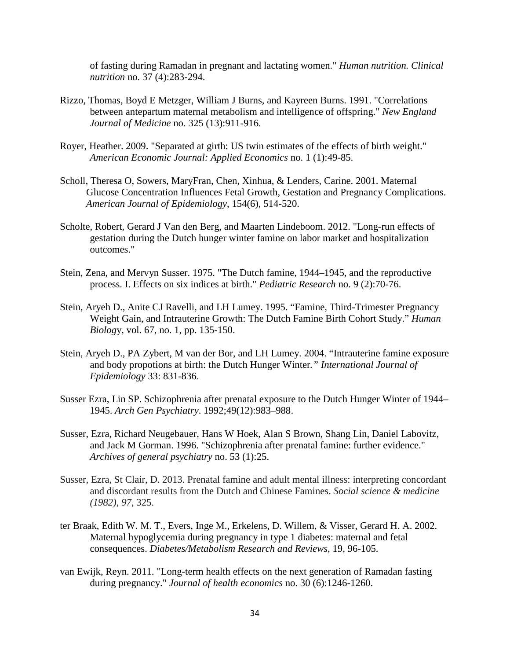of fasting during Ramadan in pregnant and lactating women." *Human nutrition. Clinical nutrition* no. 37 (4):283-294.

- Rizzo, Thomas, Boyd E Metzger, William J Burns, and Kayreen Burns. 1991. "Correlations between antepartum maternal metabolism and intelligence of offspring." *New England Journal of Medicine* no. 325 (13):911-916.
- Royer, Heather. 2009. "Separated at girth: US twin estimates of the effects of birth weight." *American Economic Journal: Applied Economics* no. 1 (1):49-85.
- Scholl, Theresa O, Sowers, MaryFran, Chen, Xinhua, & Lenders, Carine. 2001. Maternal Glucose Concentration Influences Fetal Growth, Gestation and Pregnancy Complications. *American Journal of Epidemiology*, 154(6), 514-520.
- Scholte, Robert, Gerard J Van den Berg, and Maarten Lindeboom. 2012. "Long-run effects of gestation during the Dutch hunger winter famine on labor market and hospitalization outcomes."
- Stein, Zena, and Mervyn Susser. 1975. "The Dutch famine, 1944–1945, and the reproductive process. I. Effects on six indices at birth." *Pediatric Research* no. 9 (2):70-76.
- Stein, Aryeh D., Anite CJ Ravelli, and LH Lumey. 1995. "Famine, Third-Trimester Pregnancy Weight Gain, and Intrauterine Growth: The Dutch Famine Birth Cohort Study." *Human Biolog*y, vol. 67, no. 1, pp. 135-150.
- Stein, Aryeh D., PA Zybert, M van der Bor, and LH Lumey. 2004. "Intrauterine famine exposure and body propotions at birth: the Dutch Hunger Winter*." International Journal of Epidemiology* 33: 831-836.
- Susser Ezra, Lin SP. Schizophrenia after prenatal exposure to the Dutch Hunger Winter of 1944– 1945. *Arch Gen Psychiatry*. 1992;49(12):983–988.
- Susser, Ezra, Richard Neugebauer, Hans W Hoek, Alan S Brown, Shang Lin, Daniel Labovitz, and Jack M Gorman. 1996. "Schizophrenia after prenatal famine: further evidence." *Archives of general psychiatry* no. 53 (1):25.
- Susser, Ezra, St Clair, D. 2013. Prenatal famine and adult mental illness: interpreting concordant and discordant results from the Dutch and Chinese Famines. *Social science & medicine (1982)*, *97*, 325.
- ter Braak, Edith W. M. T., Evers, Inge M., Erkelens, D. Willem, & Visser, Gerard H. A. 2002. Maternal hypoglycemia during pregnancy in type 1 diabetes: maternal and fetal consequences. *Diabetes/Metabolism Research and Reviews*, 19, 96-105.
- van Ewijk, Reyn. 2011. "Long-term health effects on the next generation of Ramadan fasting during pregnancy." *Journal of health economics* no. 30 (6):1246-1260.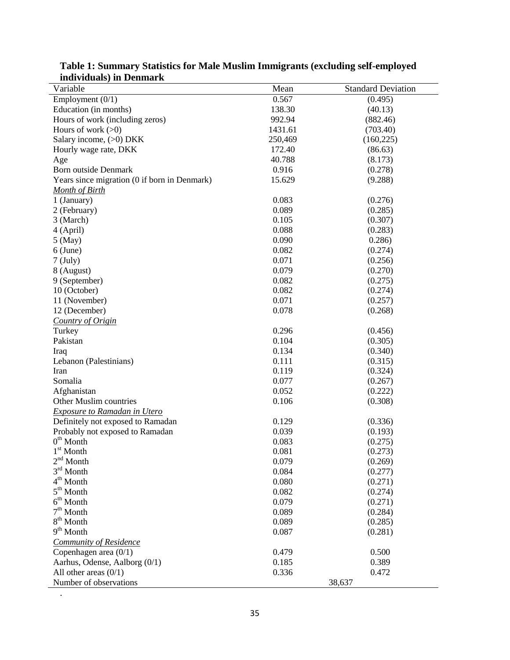| muividuais) in Denmark                       |         |                           |
|----------------------------------------------|---------|---------------------------|
| Variable                                     | Mean    | <b>Standard Deviation</b> |
| Employment $(0/1)$                           | 0.567   | (0.495)                   |
| Education (in months)                        | 138.30  | (40.13)                   |
| Hours of work (including zeros)              | 992.94  | (882.46)                  |
| Hours of work $(>0)$                         | 1431.61 | (703.40)                  |
| Salary income, (>0) DKK                      | 250,469 | (160, 225)                |
| Hourly wage rate, DKK                        | 172.40  | (86.63)                   |
| Age                                          | 40.788  | (8.173)                   |
| <b>Born outside Denmark</b>                  | 0.916   | (0.278)                   |
| Years since migration (0 if born in Denmark) | 15.629  | (9.288)                   |
| <b>Month of Birth</b>                        |         |                           |
| 1 (January)                                  | 0.083   | (0.276)                   |
| 2 (February)                                 | 0.089   | (0.285)                   |
| 3 (March)                                    | 0.105   | (0.307)                   |
| 4 (April)                                    | 0.088   | (0.283)                   |
| $5$ (May)                                    | 0.090   | 0.286                     |
| $6$ (June)                                   | 0.082   | (0.274)                   |
| $7$ (July)                                   | 0.071   | (0.256)                   |
| 8 (August)                                   | 0.079   | (0.270)                   |
| 9 (September)                                | 0.082   | (0.275)                   |
| 10 (October)                                 | 0.082   | (0.274)                   |
| 11 (November)                                | 0.071   | (0.257)                   |
| 12 (December)                                | 0.078   | (0.268)                   |
| Country of Origin                            |         |                           |
| Turkey                                       | 0.296   | (0.456)                   |
| Pakistan                                     | 0.104   | (0.305)                   |
| Iraq                                         | 0.134   | (0.340)                   |
| Lebanon (Palestinians)                       | 0.111   | (0.315)                   |
| Iran                                         | 0.119   | (0.324)                   |
| Somalia                                      | 0.077   | (0.267)                   |
| Afghanistan                                  | 0.052   | (0.222)                   |
| Other Muslim countries                       | 0.106   | (0.308)                   |
| <b>Exposure to Ramadan in Utero</b>          |         |                           |
| Definitely not exposed to Ramadan            | 0.129   | (0.336)                   |
| Probably not exposed to Ramadan              | 0.039   | (0.193)                   |
| $0th$ Month                                  | 0.083   | (0.275)                   |
| $1^{\rm st}$ Month                           | 0.081   | (0.273)                   |
| $2nd$ Month                                  | 0.079   | (0.269)                   |
| $3rd$ Month                                  | 0.084   | (0.277)                   |
| $4^{th}$ Month                               | 0.080   | (0.271)                   |
| $5^{\text{th}}$ Month                        | 0.082   | (0.274)                   |
| $6th$ Month                                  | 0.079   |                           |
| $7^{\rm th}$ Month                           | 0.089   | (0.271)                   |
| $8th$ Month                                  |         | (0.284)                   |
|                                              | 0.089   | (0.285)                   |
| $9th$ Month                                  | 0.087   | (0.281)                   |
| Community of Residence                       |         |                           |
| Copenhagen area $(0/1)$                      | 0.479   | 0.500                     |
| Aarhus, Odense, Aalborg (0/1)                | 0.185   | 0.389                     |
| All other areas $(0/1)$                      | 0.336   | 0.472                     |
| Number of observations                       |         | 38,637                    |

**Table 1: Summary Statistics for Male Muslim Immigrants (excluding self-employed individuals) in Denmark**

.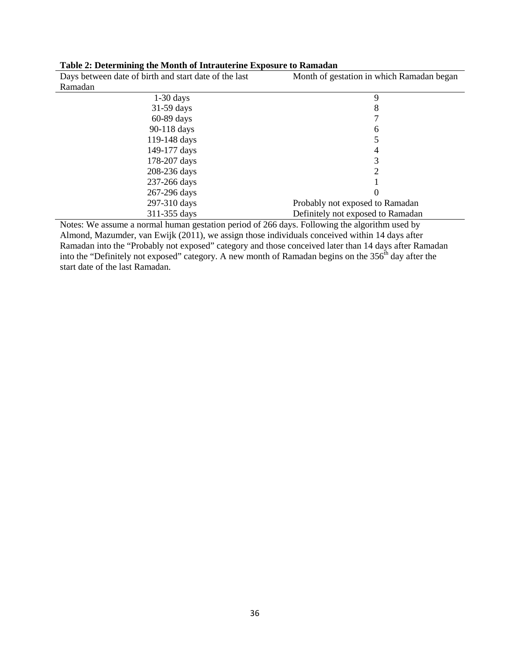| Days between date of birth and start date of the last | Month of gestation in which Ramadan began |
|-------------------------------------------------------|-------------------------------------------|
| Ramadan                                               |                                           |
| $1-30$ days                                           | 9                                         |
| $31-59$ days                                          | 8                                         |
| $60-89$ days                                          |                                           |
| 90-118 days                                           | 6                                         |
| 119-148 days                                          |                                           |
| 149-177 days                                          | 4                                         |
| 178-207 days                                          | 3                                         |
| 208-236 days                                          | 2                                         |
| 237-266 days                                          |                                           |
| 267-296 days                                          |                                           |
| 297-310 days                                          | Probably not exposed to Ramadan           |
| 311-355 days                                          | Definitely not exposed to Ramadan         |

#### **Table 2: Determining the Month of Intrauterine Exposure to Ramadan**

Notes: We assume a normal human gestation period of 266 days. Following the algorithm used by Almond, Mazumder, van Ewijk (2011), we assign those individuals conceived within 14 days after Ramadan into the "Probably not exposed" category and those conceived later than 14 days after Ramadan into the "Definitely not exposed" category. A new month of Ramadan begins on the  $356<sup>th</sup>$  day after the start date of the last Ramadan.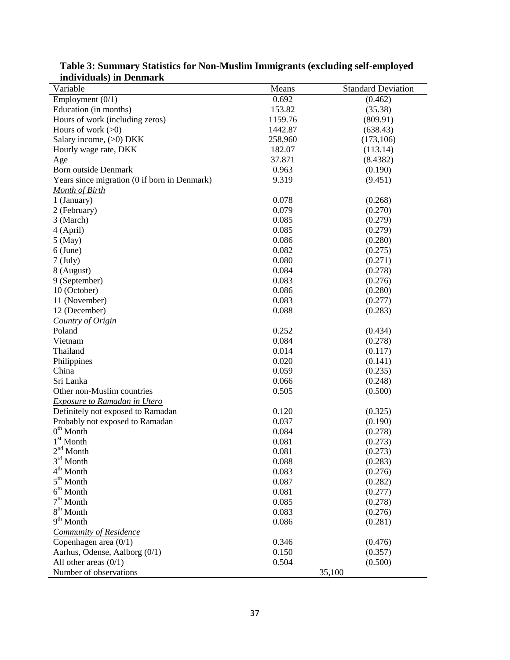| <u>murviduais) in Deninal K</u><br>Variable  | Means          | <b>Standard Deviation</b> |
|----------------------------------------------|----------------|---------------------------|
| Employment $(0/1)$                           | 0.692          | (0.462)                   |
| Education (in months)                        | 153.82         | (35.38)                   |
| Hours of work (including zeros)              | 1159.76        | (809.91)                  |
| Hours of work $(>0)$                         | 1442.87        | (638.43)                  |
| Salary income, (>0) DKK                      | 258,960        | (173, 106)                |
| Hourly wage rate, DKK                        | 182.07         | (113.14)                  |
| Age                                          | 37.871         | (8.4382)                  |
| <b>Born outside Denmark</b>                  | 0.963          | (0.190)                   |
| Years since migration (0 if born in Denmark) | 9.319          | (9.451)                   |
| Month of Birth                               |                |                           |
| 1 (January)                                  | 0.078          | (0.268)                   |
| 2 (February)                                 | 0.079          | (0.270)                   |
| 3 (March)                                    | 0.085          | (0.279)                   |
| 4 (April)                                    | 0.085          | (0.279)                   |
| $5$ (May)                                    | 0.086          | (0.280)                   |
| $6$ (June)                                   | 0.082          | (0.275)                   |
| $7$ (July)                                   | 0.080          | (0.271)                   |
| 8 (August)                                   | 0.084          | (0.278)                   |
| 9 (September)                                | 0.083          | (0.276)                   |
| 10 (October)                                 | 0.086          | (0.280)                   |
| 11 (November)                                | 0.083          | (0.277)                   |
| 12 (December)                                | 0.088          | (0.283)                   |
| Country of Origin                            |                |                           |
| Poland                                       | 0.252          | (0.434)                   |
| Vietnam                                      | 0.084          | (0.278)                   |
| Thailand                                     | 0.014          | (0.117)                   |
| Philippines                                  | 0.020          | (0.141)                   |
| China                                        | 0.059          | (0.235)                   |
| Sri Lanka                                    | 0.066          | (0.248)                   |
| Other non-Muslim countries                   | 0.505          | (0.500)                   |
| Exposure to Ramadan in Utero                 |                |                           |
| Definitely not exposed to Ramadan            | 0.120          | (0.325)                   |
| Probably not exposed to Ramadan              | 0.037          | (0.190)                   |
| $0th$ Month                                  | 0.084          | (0.278)                   |
| $1^{\rm st}$ Month                           | 0.081          | (0.273)                   |
| $2nd$ Month                                  | 0.081          | (0.273)                   |
| $3^{\rm rd}$ Month                           | 0.088          | (0.283)                   |
| $4^{\rm th}$ Month                           |                |                           |
| $5^{\text{th}}$ Month                        | 0.083          | (0.276)                   |
| $6^{th}$ Month                               | 0.087          | (0.282)                   |
| $7^{\rm th}$ Month                           | 0.081          | (0.277)                   |
| $8th$ Month                                  | 0.085<br>0.083 | (0.278)                   |
| $9th$ Month                                  |                | (0.276)                   |
|                                              | 0.086          | (0.281)                   |
| <b>Community of Residence</b>                |                |                           |
| Copenhagen area $(0/1)$                      | 0.346          | (0.476)                   |
| Aarhus, Odense, Aalborg (0/1)                | 0.150          | (0.357)                   |
| All other areas $(0/1)$                      | 0.504          | (0.500)                   |
| Number of observations                       |                | 35,100                    |

**Table 3: Summary Statistics for Non-Muslim Immigrants (excluding self-employed individuals) in Denmark**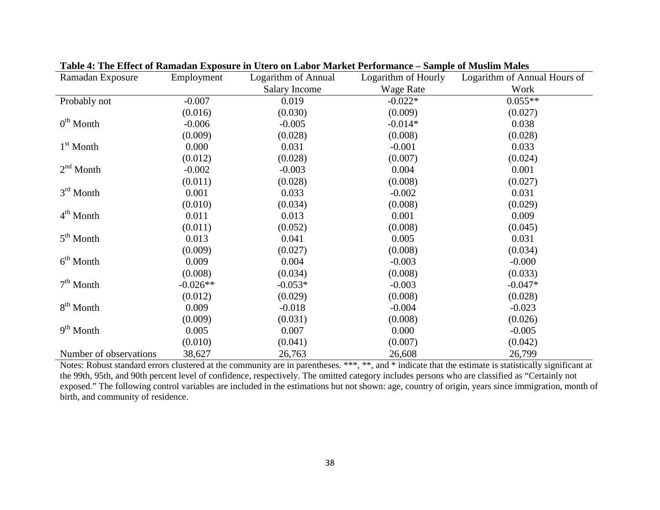| Ramadan Exposure       | Employment | Logarithm of Annual  | Logarithm of Hourly | Logarithm of Annual Hours of |
|------------------------|------------|----------------------|---------------------|------------------------------|
|                        |            | <b>Salary Income</b> | <b>Wage Rate</b>    | Work                         |
| Probably not           | $-0.007$   | 0.019                | $-0.022*$           | $0.055**$                    |
|                        | (0.016)    | (0.030)              | (0.009)             | (0.027)                      |
| $0th$ Month            | $-0.006$   | $-0.005$             | $-0.014*$           | 0.038                        |
|                        | (0.009)    | (0.028)              | (0.008)             | (0.028)                      |
| $1st$ Month            | 0.000      | 0.031                | $-0.001$            | 0.033                        |
|                        | (0.012)    | (0.028)              | (0.007)             | (0.024)                      |
| $2nd$ Month            | $-0.002$   | $-0.003$             | 0.004               | 0.001                        |
|                        | (0.011)    | (0.028)              | (0.008)             | (0.027)                      |
| $3rd$ Month            | 0.001      | 0.033                | $-0.002$            | 0.031                        |
|                        | (0.010)    | (0.034)              | (0.008)             | (0.029)                      |
| $4th$ Month            | 0.011      | 0.013                | 0.001               | 0.009                        |
|                        | (0.011)    | (0.052)              | (0.008)             | (0.045)                      |
| $5th$ Month            | 0.013      | 0.041                | 0.005               | 0.031                        |
|                        | (0.009)    | (0.027)              | (0.008)             | (0.034)                      |
| $6th$ Month            | 0.009      | 0.004                | $-0.003$            | $-0.000$                     |
|                        | (0.008)    | (0.034)              | (0.008)             | (0.033)                      |
| $7th$ Month            | $-0.026**$ | $-0.053*$            | $-0.003$            | $-0.047*$                    |
|                        | (0.012)    | (0.029)              | (0.008)             | (0.028)                      |
| $8th$ Month            | 0.009      | $-0.018$             | $-0.004$            | $-0.023$                     |
|                        | (0.009)    | (0.031)              | (0.008)             | (0.026)                      |
| $9th$ Month            | 0.005      | 0.007                | 0.000               | $-0.005$                     |
|                        | (0.010)    | (0.041)              | (0.007)             | (0.042)                      |
| Number of observations | 38,627     | 26,763               | 26,608              | 26,799                       |

**Table 4: The Effect of Ramadan Exposure in Utero on Labor Market Performance – Sample of Muslim Males**

Notes: Robust standard errors clustered at the community are in parentheses. \*\*\*, \*\*, and \* indicate that the estimate is statistically significant at the 99th, 95th, and 90th percent level of confidence, respectively. The omitted category includes persons who are classified as "Certainly not exposed." The following control variables are included in the estimations but not shown: age, country of origin, years since immigration, month of birth, and community of residence.